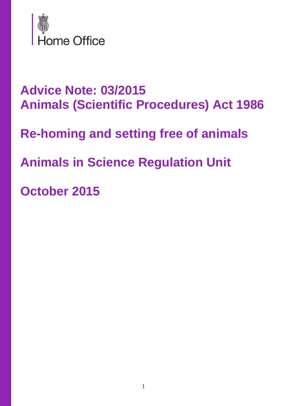

# **Advice Note: 03/2015 Animals (Scientific Procedures) Act 1986**

**Re-homing and setting free of animals**

**Animals in Science Regulation Unit**

**October 2015**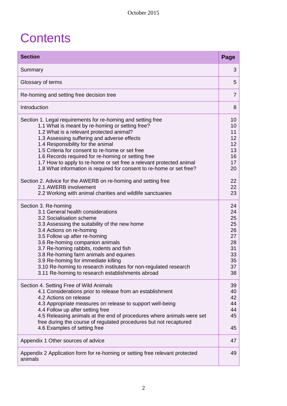# **Contents**

| <b>Section</b>                                                                                                                                                                                                                                                                                                                                                                                                                                                                                          | Page                                                                 |
|---------------------------------------------------------------------------------------------------------------------------------------------------------------------------------------------------------------------------------------------------------------------------------------------------------------------------------------------------------------------------------------------------------------------------------------------------------------------------------------------------------|----------------------------------------------------------------------|
| Summary                                                                                                                                                                                                                                                                                                                                                                                                                                                                                                 | 3                                                                    |
| Glossary of terms                                                                                                                                                                                                                                                                                                                                                                                                                                                                                       |                                                                      |
| Re-homing and setting free decision tree                                                                                                                                                                                                                                                                                                                                                                                                                                                                | $\overline{7}$                                                       |
| Introduction                                                                                                                                                                                                                                                                                                                                                                                                                                                                                            | 8                                                                    |
| Section 1. Legal requirements for re-homing and setting free<br>1.1 What is meant by re-homing or setting free?<br>1.2 What is a relevant protected animal?<br>1.3 Assessing suffering and adverse effects<br>1.4 Responsibility for the animal<br>1.5 Criteria for consent to re-home or set free<br>1.6 Records required for re-homing or setting free<br>1.7 How to apply to re-home or set free a relevant protected animal<br>1.8 What information is required for consent to re-home or set free? | 10<br>10<br>11<br>12 <sup>2</sup><br>12<br>13<br>16<br>17<br>20      |
| Section 2. Advice for the AWERB on re-homing and setting free<br>2.1 AWERB involvement<br>2.2 Working with animal charities and wildlife sanctuaries                                                                                                                                                                                                                                                                                                                                                    | 22<br>22<br>23                                                       |
| Section 3. Re-homing<br>3.1 General health considerations<br>3.2 Socialisation scheme<br>3.3 Assessing the suitability of the new home<br>3.4 Actions on re-homing<br>3.5 Follow up after re-homing<br>3.6 Re-homing companion animals<br>3.7 Re-homing rabbits, rodents and fish<br>3.8 Re-homing farm animals and equines<br>3.9 Re-homing for immediate killing<br>3.10 Re-homing to research institutes for non-regulated research<br>3.11 Re-homing to research establishments abroad              | 24<br>24<br>25<br>25<br>26<br>27<br>28<br>31<br>33<br>35<br>37<br>38 |
| Section 4. Setting Free of Wild Animals<br>4.1 Considerations prior to release from an establishment<br>4.2 Actions on release<br>4.3 Appropriate measures on release to support well-being<br>4.4 Follow up after setting free<br>4.5 Releasing animals at the end of procedures where animals were set<br>free during the course of regulated procedures but not recaptured<br>4.6 Examples of setting free                                                                                           | 39<br>40<br>42<br>44<br>44<br>45<br>45                               |
| Appendix 1 Other sources of advice                                                                                                                                                                                                                                                                                                                                                                                                                                                                      | 47                                                                   |
| Appendix 2 Application form for re-homing or setting free relevant protected<br>animals                                                                                                                                                                                                                                                                                                                                                                                                                 | 49                                                                   |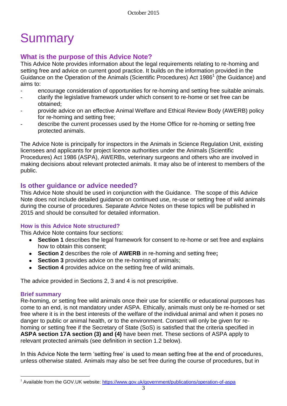# **Summary**

## **What is the purpose of this Advice Note?**

This Advice Note provides information about the legal requirements relating to re-homing and setting free and advice on current good practice. It builds on the information provided in the Guidance on the Operation of the Animals (Scientific Procedures) Act 1986<sup>1</sup> (the Guidance) and aims to:

- encourage consideration of opportunities for re-homing and setting free suitable animals.
- clarify the legislative framework under which consent to re-home or set free can be obtained;
- provide advice on an effective Animal Welfare and Ethical Review Body (AWERB) policy for re-homing and setting free;
- describe the current processes used by the Home Office for re-homing or setting free protected animals.

The Advice Note is principally for inspectors in the Animals in Science Regulation Unit, existing licensees and applicants for project licence authorities under the Animals (Scientific Procedures) Act 1986 (ASPA), AWERBs, veterinary surgeons and others who are involved in making decisions about relevant protected animals. It may also be of interest to members of the public.

### **Is other guidance or advice needed?**

This Advice Note should be used in conjunction with the Guidance. The scope of this Advice Note does not include detailed guidance on continued use, re-use or setting free of wild animals during the course of procedures. Separate Advice Notes on these topics will be published in 2015 and should be consulted for detailed information.

#### **How is this Advice Note structured?**

This Advice Note contains four sections:

- $\bullet$ **Section 1** describes the legal framework for consent to re-home or set free and explains how to obtain this consent;
- **Section 2** describes the role of **AWERB** in re-homing and setting free**;**
- **Section 3** provides advice on the re-homing of animals;
- **Section 4** provides advice on the setting free of wild animals.

The advice provided in Sections 2, 3 and 4 is not prescriptive.

#### **Brief summary**

 $\overline{a}$ 

Re-homing, or setting free wild animals once their use for scientific or educational purposes has come to an end, is not mandatory under ASPA. Ethically, animals must only be re-homed or set free where it is in the best interests of the welfare of the individual animal and when it poses no danger to public or animal health, or to the environment. Consent will only be given for rehoming or setting free if the Secretary of State (SoS) is satisfied that the criteria specified in **ASPA section 17A section (3) and (4)** have been met. These sections of ASPA apply to relevant protected animals (see definition in section 1.2 below).

In this Advice Note the term 'setting free' is used to mean setting free at the end of procedures, unless otherwise stated. Animals may also be set free during the course of procedures, but in

<sup>&</sup>lt;sup>1</sup> Available from the GOV.UK website:<https://www.gov.uk/government/publications/operation-of-aspa>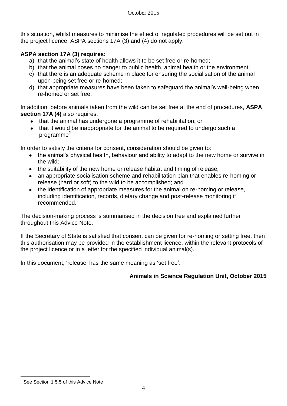this situation, whilst measures to minimise the effect of regulated procedures will be set out in the project licence, ASPA sections 17A (3) and (4) do not apply.

#### **ASPA section 17A (3) requires:**

- a) that the animal's state of health allows it to be set free or re-homed;
- b) that the animal poses no danger to public health, animal health or the environment;
- c) that there is an adequate scheme in place for ensuring the socialisation of the animal upon being set free or re-homed;
- d) that appropriate measures have been taken to safeguard the animal's well-being when re-homed or set free.

In addition, before animals taken from the wild can be set free at the end of procedures, **ASPA section 17A (4)** also requires:

- that the animal has undergone a programme of rehabilitation; or
- $\bullet$ that it would be inappropriate for the animal to be required to undergo such a programme<sup>2</sup>

In order to satisfy the criteria for consent, consideration should be given to:

- the animal's physical health, behaviour and ability to adapt to the new home or survive in the wild;
- the suitability of the new home or release habitat and timing of release:
- an appropriate socialisation scheme and rehabilitation plan that enables re-homing or  $\bullet$ release (hard or soft) to the wild to be accomplished; and
- $\bullet$ the identification of appropriate measures for the animal on re-homing or release, including identification, records, dietary change and post-release monitoring if recommended.

The decision-making process is summarised in the decision tree and explained further throughout this Advice Note.

If the Secretary of State is satisfied that consent can be given for re-homing or setting free, then this authorisation may be provided in the establishment licence, within the relevant protocols of the project licence or in a letter for the specified individual animal(s).

In this document, 'release' has the same meaning as 'set free'.

#### **Animals in Science Regulation Unit, October 2015**

 $\overline{a}$  $2$  See Section 1.5.5 of this Advice Note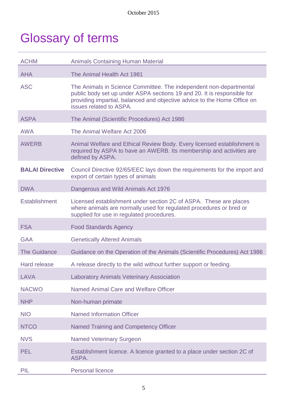# Glossary of terms

| <b>ACHM</b>            | <b>Animals Containing Human Material</b>                                                                                                                                                                                                             |
|------------------------|------------------------------------------------------------------------------------------------------------------------------------------------------------------------------------------------------------------------------------------------------|
| <b>AHA</b>             | The Animal Health Act 1981                                                                                                                                                                                                                           |
| <b>ASC</b>             | The Animals in Science Committee. The independent non-departmental<br>public body set up under ASPA sections 19 and 20. It is responsible for<br>providing impartial, balanced and objective advice to the Home Office on<br>issues related to ASPA. |
| <b>ASPA</b>            | The Animal (Scientific Procedures) Act 1986                                                                                                                                                                                                          |
| <b>AWA</b>             | The Animal Welfare Act 2006                                                                                                                                                                                                                          |
| <b>AWERB</b>           | Animal Welfare and Ethical Review Body. Every licensed establishment is<br>required by ASPA to have an AWERB. Its membership and activities are<br>defined by ASPA.                                                                                  |
| <b>BALAI Directive</b> | Council Directive 92/65/EEC lays down the requirements for the import and<br>export of certain types of animals                                                                                                                                      |
| <b>DWA</b>             | Dangerous and Wild Animals Act 1976                                                                                                                                                                                                                  |
| <b>Establishment</b>   | Licensed establishment under section 2C of ASPA. These are places<br>where animals are normally used for regulated procedures or bred or<br>supplied for use in regulated procedures.                                                                |
| <b>FSA</b>             | <b>Food Standards Agency</b>                                                                                                                                                                                                                         |
| <b>GAA</b>             | <b>Genetically Altered Animals</b>                                                                                                                                                                                                                   |
| <b>The Guidance</b>    | Guidance on the Operation of the Animals (Scientific Procedures) Act 1986                                                                                                                                                                            |
| <b>Hard release</b>    | A release directly to the wild without further support or feeding.                                                                                                                                                                                   |
| LAVA                   | <b>Laboratory Animals Veterinary Association</b>                                                                                                                                                                                                     |
| <b>NACWO</b>           | <b>Named Animal Care and Welfare Officer</b>                                                                                                                                                                                                         |
| <b>NHP</b>             | Non-human primate                                                                                                                                                                                                                                    |
| <b>NIO</b>             | <b>Named Information Officer</b>                                                                                                                                                                                                                     |
| <b>NTCO</b>            | <b>Named Training and Competency Officer</b>                                                                                                                                                                                                         |
| <b>NVS</b>             | <b>Named Veterinary Surgeon</b>                                                                                                                                                                                                                      |
| <b>PEL</b>             | Establishment licence. A licence granted to a place under section 2C of<br>ASPA.                                                                                                                                                                     |
| PIL                    | <b>Personal licence</b>                                                                                                                                                                                                                              |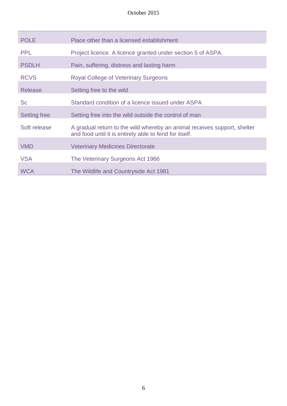| <b>POLE</b>         | Place other than a licensed establishment                                                                                          |
|---------------------|------------------------------------------------------------------------------------------------------------------------------------|
| <b>PPL</b>          | Project licence. A licence granted under section 5 of ASPA.                                                                        |
| <b>PSDLH</b>        | Pain, suffering, distress and lasting harm                                                                                         |
| <b>RCVS</b>         | <b>Royal College of Veterinary Surgeons</b>                                                                                        |
| <b>Release</b>      | Setting free to the wild                                                                                                           |
| <b>Sc</b>           | Standard condition of a licence issued under ASPA                                                                                  |
| <b>Setting free</b> | Setting free into the wild outside the control of man                                                                              |
| Soft release        | A gradual return to the wild whereby an animal receives support, shelter<br>and food until it is entirely able to fend for itself. |
| <b>VMD</b>          | <b>Veterinary Medicines Directorate</b>                                                                                            |
| <b>VSA</b>          | The Veterinary Surgeons Act 1966                                                                                                   |
| <b>WCA</b>          | The Wildlife and Countryside Act 1981                                                                                              |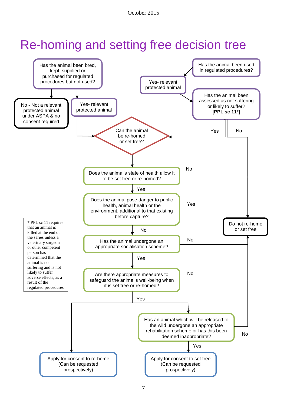# Re-homing and setting free decision tree

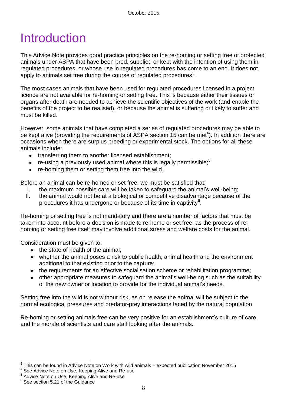# Introduction

This Advice Note provides good practice principles on the re-homing or setting free of protected animals under ASPA that have been bred, supplied or kept with the intention of using them in regulated procedures, or whose use in regulated procedures has come to an end. It does not apply to animals set free during the course of regulated procedures<sup>3</sup>.

The most cases animals that have been used for regulated procedures licensed in a project licence are not available for re-homing or setting free. This is because either their tissues or organs after death are needed to achieve the scientific objectives of the work (and enable the benefits of the project to be realised), or because the animal is suffering or likely to suffer and must be killed.

However, some animals that have completed a series of regulated procedures may be able to be kept alive (providing the requirements of ASPA section 15 can be met<sup>4</sup>). In addition there are occasions when there are surplus breeding or experimental stock. The options for all these animals include:

- transferring them to another licensed establishment;
- re-using a previously used animal where this is legally permissible;<sup>5</sup>
- re-homing them or setting them free into the wild.  $\bullet$

Before an animal can be re-homed or set free, we must be satisfied that:

- I. the maximum possible care will be taken to safeguard the animal's well-being;
- II. the animal would not be at a biological or competitive disadvantage because of the procedures it has undergone or because of its time in captivity<sup>6</sup>.

Re-homing or setting free is not mandatory and there are a number of factors that must be taken into account before a decision is made to re-home or set free, as the process of rehoming or setting free itself may involve additional stress and welfare costs for the animal.

Consideration must be given to:

- the state of health of the animal;
- whether the animal poses a risk to public health, animal health and the environment  $\bullet$ additional to that existing prior to the capture;
- the requirements for an effective socialisation scheme or rehabilitation programme;
- other appropriate measures to safeguard the animal's well-being such as the suitability of the new owner or location to provide for the individual animal's needs.

Setting free into the wild is not without risk, as on release the animal will be subject to the normal ecological pressures and predator-prey interactions faced by the natural population.

Re-homing or setting animals free can be very positive for an establishment's culture of care and the morale of scientists and care staff looking after the animals.

 $\overline{a}$  $^3$  This can be found in Advice Note on Work with wild animals – expected publication November 2015

<sup>&</sup>lt;sup>4</sup> See Advice Note on Use, Keeping Alive and Re-use<br><sup>5</sup> Advice Note on Use, Keeping Alive and Re-use

<sup>6</sup> See section 5.21 of the Guidance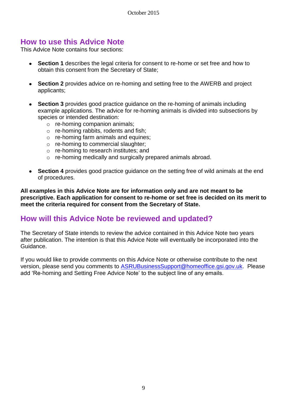## **How to use this Advice Note**

This Advice Note contains four sections:

- **Section 1** describes the legal criteria for consent to re-home or set free and how to obtain this consent from the Secretary of State;
- **Section 2** provides advice on re-homing and setting free to the AWERB and project applicants;
- **Section 3** provides good practice guidance on the re-homing of animals including example applications. The advice for re-homing animals is divided into subsections by species or intended destination:
	- o re-homing companion animals;
	- o re-homing rabbits, rodents and fish;
	- o re-homing farm animals and equines;
	- o re-homing to commercial slaughter;
	- o re-homing to research institutes; and
	- o re-homing medically and surgically prepared animals abroad.
- **Section 4** provides good practice guidance on the setting free of wild animals at the end of procedures.

**All examples in this Advice Note are for information only and are not meant to be prescriptive. Each application for consent to re-home or set free is decided on its merit to meet the criteria required for consent from the Secretary of State.**

## **How will this Advice Note be reviewed and updated?**

The Secretary of State intends to review the advice contained in this Advice Note two years after publication. The intention is that this Advice Note will eventually be incorporated into the Guidance.

If you would like to provide comments on this Advice Note or otherwise contribute to the next version, please send you comments to [ASRUBusinessSupport@homeoffice.gsi.gov.uk.](mailto:ASRUBusinessSupport@homeoffice.gsi.gov.uk) Please add 'Re-homing and Setting Free Advice Note' to the subject line of any emails.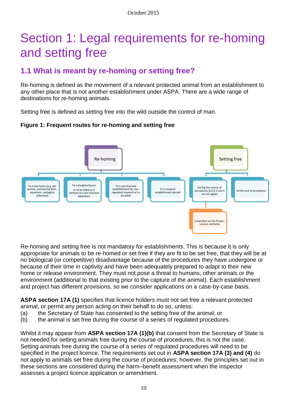# Section 1: Legal requirements for re-homing and setting free

# **1.1 What is meant by re-homing or setting free?**

Re-homing is defined as the movement of a relevant protected animal from an establishment to any other place that is not another establishment under ASPA. There are a wide range of destinations for re-homing animals.

Setting free is defined as setting free into the wild outside the control of man.

#### **Figure 1: Frequent routes for re-homing and setting free**



Re-homing and setting free is not mandatory for establishments. This is because it is only appropriate for animals to be re-homed or set free if they are fit to be set free, that they will be at no biological (or competitive) disadvantage because of the procedures they have undergone or because of their time in captivity and have been adequately prepared to adapt to their new home or release environment. They must not pose a threat to humans, other animals or the environment (additional to that existing prior to the capture of the animal). Each establishment and project has different provisions, so we consider applications on a case-by-case basis.

**ASPA section 17A (1)** specifies that licence holders must not set free a relevant protected animal, or permit any person acting on their behalf to do so, unless:

- (a) the Secretary of State has consented to the setting free of the animal; or
- (b) the animal is set free during the course of a series of regulated procedures.

Whilst it may appear from **ASPA section 17A (1)(b)** that consent from the Secretary of State is not needed for setting animals free during the course of procedures, this is not the case. Setting animals free during the course of a series of regulated procedures will need to be specified in the project licence. The requirements set out in **ASPA section 17A (3) and (4)** do not apply to animals set free during the course of procedures; however, the principles set out in these sections are considered during the harm–benefit assessment when the inspector assesses a project licence application or amendment.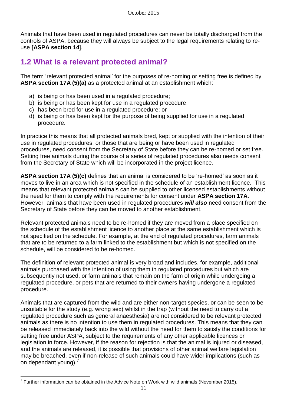Animals that have been used in regulated procedures can never be totally discharged from the controls of ASPA, because they will always be subject to the legal requirements relating to reuse **[ASPA section 14**].

# **1.2 What is a relevant protected animal?**

The term 'relevant protected animal' for the purposes of re-homing or setting free is defined by **ASPA section 17A (5)(a)** as a protected animal at an establishment which:

- a) is being or has been used in a regulated procedure;
- b) is being or has been kept for use in a regulated procedure;
- c) has been bred for use in a regulated procedure; or
- d) is being or has been kept for the purpose of being supplied for use in a regulated procedure.

In practice this means that all protected animals bred, kept or supplied with the intention of their use in regulated procedures, or those that are being or have been used in regulated procedures, need consent from the Secretary of State before they can be re-homed or set free. Setting free animals during the course of a series of regulated procedures also needs consent from the Secretary of State which will be incorporated in the project licence.

**ASPA section 17A (5)(c)** defines that an animal is considered to be 're-homed' as soon as it moves to live in an area which is not specified in the schedule of an establishment licence. This means that relevant protected animals can be supplied to other licensed establishments without the need for them to comply with the requirements for consent under **ASPA section 17A**. However, animals that have been used in regulated procedures *will also* need consent from the Secretary of State before they can be moved to another establishment.

Relevant protected animals need to be re-homed if they are moved from a place specified on the schedule of the establishment licence to another place at the same establishment which is not specified on the schedule. For example, at the end of regulated procedures, farm animals that are to be returned to a farm linked to the establishment but which is not specified on the schedule, will be considered to be re-homed.

The definition of relevant protected animal is very broad and includes, for example, additional animals purchased with the intention of using them in regulated procedures but which are subsequently not used, or farm animals that remain on the farm of origin while undergoing a regulated procedure, or pets that are returned to their owners having undergone a regulated procedure.

Animals that are captured from the wild and are either non-target species, or can be seen to be unsuitable for the study (e.g. wrong sex) whilst in the trap (without the need to carry out a regulated procedure such as general anaesthesia) are not considered to be relevant protected animals as there is no intention to use them in regulated procedures. This means that they can be released immediately back into the wild without the need for them to satisfy the conditions for setting free under ASPA, subject to the requirements of any other applicable licences or legislation in force. However, if the reason for rejection is that the animal is injured or diseased, and the animals are released, it is possible that provisions of other animal welfare legislation may be breached, even if non-release of such animals could have wider implications (such as on dependant young).<sup>7</sup>

 $\overline{a}$  $<sup>7</sup>$  Further information can be obtained in the Advice Note on Work with wild animals (November 2015).</sup>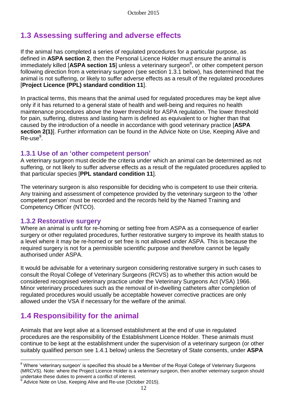# **1.3 Assessing suffering and adverse effects**

If the animal has completed a series of regulated procedures for a particular purpose, as defined in **ASPA section 2**, then the Personal Licence Holder must ensure the animal is immediately killed [ASPA section 15] unless a veterinary surgeon<sup>8</sup>, or other competent person following direction from a veterinary surgeon (see section 1.3.1 below), has determined that the animal is not suffering, or likely to suffer adverse effects as a result of the regulated procedures [**Project Licence (PPL) standard condition 11**].

In practical terms, this means that the animal used for regulated procedures may be kept alive only if it has returned to a general state of health and well-being and requires no health maintenance procedures above the lower threshold for ASPA regulation. The lower threshold for pain, suffering, distress and lasting harm is defined as equivalent to or higher than that caused by the introduction of a needle in accordance with good veterinary practice [**ASPA section 2(1)**]. Further information can be found in the Advice Note on Use, Keeping Alive and Re-use<sup>9</sup>.

### **1.3.1 Use of an 'other competent person'**

A veterinary surgeon must decide the criteria under which an animal can be determined as not suffering, or not likely to suffer adverse effects as a result of the regulated procedures applied to that particular species [**PPL standard condition 11**].

The veterinary surgeon is also responsible for deciding who is competent to use their criteria. Any training and assessment of competence provided by the veterinary surgeon to the 'other competent person' must be recorded and the records held by the Named Training and Competency Officer (NTCO).

#### **1.3.2 Restorative surgery**

Where an animal is unfit for re-homing or setting free from ASPA as a consequence of earlier surgery or other regulated procedures, further restorative surgery to improve its health status to a level where it may be re-homed or set free is not allowed under ASPA. This is because the required surgery is not for a permissible scientific purpose and therefore cannot be legally authorised under ASPA.

It would be advisable for a veterinary surgeon considering restorative surgery in such cases to consult the Royal College of Veterinary Surgeons (RCVS) as to whether this action would be considered recognised veterinary practice under the Veterinary Surgeons Act (VSA) 1966. Minor veterinary procedures such as the removal of in-dwelling catheters after completion of regulated procedures would usually be acceptable however corrective practices are only allowed under the VSA if necessary for the welfare of the animal.

# **1.4 Responsibility for the animal**

Animals that are kept alive at a licensed establishment at the end of use in regulated procedures are the responsibility of the Establishment Licence Holder. These animals must continue to be kept at the establishment under the supervision of a veterinary surgeon (or other suitably qualified person see 1.4.1 below) unless the Secretary of State consents, under **ASPA** 

 $\overline{a}$ <sup>8</sup> Where 'veterinary surgeon' is specified this should be a Member of the Royal College of Veterinary Surgeons (MRCVS). Note: where the Project Licence Holder is a veterinary surgeon, then another veterinary surgeon should undertake these duties to prevent a conflict of interest.

<sup>&</sup>lt;sup>9</sup> Advice Note on Use, Keeping Alive and Re-use (October 2015).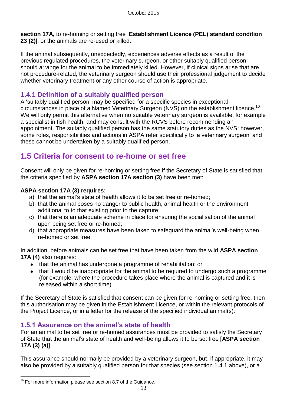**section 17A,** to re-homing or setting free [**Establishment Licence (PEL) standard condition 23 (2)**], or the animals are re-used or killed.

If the animal subsequently, unexpectedly, experiences adverse effects as a result of the previous regulated procedures, the veterinary surgeon, or other suitably qualified person, should arrange for the animal to be immediately killed. However, if clinical signs arise that are not procedure-related, the veterinary surgeon should use their professional judgement to decide whether veterinary treatment or any other course of action is appropriate.

### **1.4.1 Definition of a suitably qualified person**

A 'suitably qualified person' may be specified for a specific species in exceptional circumstances in place of a Named Veterinary Surgeon (NVS) on the establishment licence. 10 We will only permit this alternative when no suitable veterinary surgeon is available, for example a specialist in fish health, and may consult with the RCVS before recommending an appointment. The suitably qualified person has the same statutory duties as the NVS; however, some roles, responsibilities and actions in ASPA refer specifically to 'a veterinary surgeon' and these cannot be undertaken by a suitably qualified person.

# **1.5 Criteria for consent to re-home or set free**

Consent will only be given for re-homing or setting free if the Secretary of State is satisfied that the criteria specified by **ASPA section 17A section (3)** have been met:

#### **ASPA section 17A (3) requires:**

- a) that the animal's state of health allows it to be set free or re-homed;
- b) that the animal poses no danger to public health, animal health or the environment additional to to that existing prior to the capture;
- c) that there is an adequate scheme in place for ensuring the socialisation of the animal upon being set free or re-homed;
- d) that appropriate measures have been taken to safeguard the animal's well-being when re-homed or set free.

In addition, before animals can be set free that have been taken from the wild **ASPA section 17A (4)** also requires:

- that the animal has undergone a programme of rehabilitation; or
- that it would be inappropriate for the animal to be required to undergo such a programme (for example, where the procedure takes place where the animal is captured and it is released within a short time).

If the Secretary of State is satisfied that consent can be given for re-homing or setting free, then this authorisation may be given in the Establishment Licence, or within the relevant protocols of the Project Licence, or in a letter for the release of the specified individual animal(s).

## **1.5.1 Assurance on the animal's state of health**

For an animal to be set free or re-homed assurances must be provided to satisfy the Secretary of State that the animal's state of health and well-being allows it to be set free [**ASPA section 17A (3) (a)**].

This assurance should normally be provided by a veterinary surgeon, but, if appropriate, it may also be provided by a suitably qualified person for that species (see section 1.4.1 above), or a

 $\overline{a}$ 

 $10$  For more information please see section 8.7 of the Guidance.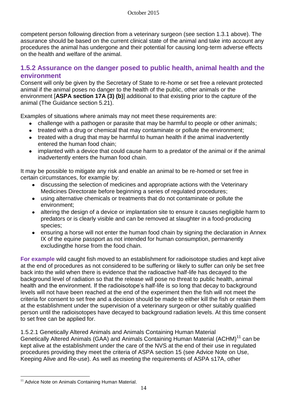competent person following direction from a veterinary surgeon (see section 1.3.1 above). The assurance should be based on the current clinical state of the animal and take into account any procedures the animal has undergone and their potential for causing long-term adverse effects on the health and welfare of the animal.

## **1.5.2 Assurance on the danger posed to public health, animal health and the environment**

Consent will only be given by the Secretary of State to re-home or set free a relevant protected animal if the animal poses no danger to the health of the public, other animals or the environment [**ASPA section 17A (3) (b)**] additional to that existing prior to the capture of the animal (The Guidance section 5.21).

Examples of situations where animals may not meet these requirements are:

- challenge with a pathogen or parasite that may be harmful to people or other animals;
- treated with a drug or chemical that may contaminate or pollute the environment;
- treated with a drug that may be harmful to human health if the animal inadvertently entered the human food chain;
- implanted with a device that could cause harm to a predator of the animal or if the animal inadvertently enters the human food chain.

It may be possible to mitigate any risk and enable an animal to be re-homed or set free in certain circumstances, for example by:

- discussing the selection of medicines and appropriate actions with the Veterinary Medicines Directorate before beginning a series of regulated procedures;
- using alternative chemicals or treatments that do not contaminate or pollute the environment;
- altering the design of a device or implantation site to ensure it causes negligible harm to predators or is clearly visible and can be removed at slaughter in a food-producing species;
- ensuring a horse will not enter the human food chain by signing the declaration in Annex IX of the equine passport as not intended for human consumption, permanently excludingthe horse from the food chain.

**For example** wild caught fish moved to an establishment for radioisotope studies and kept alive at the end of procedures as not considered to be suffering or likely to suffer can only be set free back into the wild when there is evidence that the radioactive half-life has decayed to the background level of radiation so that the release will pose no threat to public health, animal health and the environment. If the radioisotope's half-life is so long that decay to background levels will not have been reached at the end of the experiment then the fish will not meet the criteria for consent to set free and a decision should be made to either kill the fish or retain them at the establishment under the supervision of a veterinary surgeon or other suitably qualified person until the radioisotopes have decayed to background radiation levels. At this time consent to set free can be applied for.

1.5.2.1 Genetically Altered Animals and Animals Containing Human Material Genetically Altered Animals (GAA) and Animals Containing Human Material (ACHM)<sup>11</sup> can be kept alive at the establishment under the care of the NVS at the end of their use in regulated procedures providing they meet the criteria of ASPA section 15 (see Advice Note on Use, Keeping Alive and Re-use). As well as meeting the requirements of ASPA s17A, other

 $\overline{a}$ <sup>11</sup> Advice Note on Animals Containing Human Material.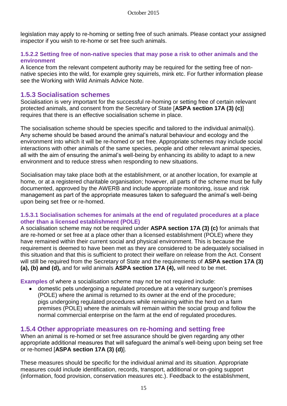legislation may apply to re-homing or setting free of such animals. Please contact your assigned inspector if you wish to re-home or set free such animals.

#### **1.5.2.2 Setting free of non-native species that may pose a risk to other animals and the environment**

A licence from the relevant competent authority may be required for the setting free of nonnative species into the wild, for example grey squirrels, mink etc. For further information please see the Working with Wild Animals Advice Note.

### **1.5.3 Socialisation schemes**

Socialisation is very important for the successful re-homing or setting free of certain relevant protected animals, and consent from the Secretary of State [**ASPA section 17A (3) (c)**] requires that there is an effective socialisation scheme in place.

The socialisation scheme should be species specific and tailored to the individual animal(s). Any scheme should be based around the animal's natural behaviour and ecology and the environment into which it will be re-homed or set free. Appropriate schemes may include social interactions with other animals of the same species, people and other relevant animal species, all with the aim of ensuring the animal's well-being by enhancing its ability to adapt to a new environment and to reduce stress when responding to new situations.

Socialisation may take place both at the establishment, or at another location, for example at home, or at a registered charitable organisation; however, all parts of the scheme must be fully documented, approved by the AWERB and include appropriate monitoring, issue and risk management as part of the appropriate measures taken to safeguard the animal's well-being upon being set free or re-homed.

#### **1.5.3.1 Socialisation schemes for animals at the end of regulated procedures at a place other than a licensed establishment (POLE)**

A socialisation scheme may not be required under **ASPA section 17A (3) (c)** for animals that are re-homed or set free at a place other than a licensed establishment (POLE) where they have remained within their current social and physical environment. This is because the requirement is deemed to have been met as they are considered to be adequately socialised in this situation and that this is sufficient to protect their welfare on release from the Act. Consent will still be required from the Secretary of State and the requirements of **ASPA section 17A (3) (a), (b) and (d),** and for wild animals **ASPA section 17A (4),** will need to be met.

**Examples** of where a socialisation scheme may not be not required include:

domestic pets undergoing a regulated procedure at a veterinary surgeon's premises  $\bullet$ (POLE) where the animal is returned to its owner at the end of the procedure; pigs undergoing regulated procedures while remaining within the herd on a farm premises (POLE) where the animals will remain within the social group and follow the normal commercial enterprise on the farm at the end of regulated procedures.

### **1.5.4 Other appropriate measures on re-homing and setting free**

When an animal is re-homed or set free assurance should be given regarding any other appropriate additional measures that will safeguard the animal's well-being upon being set free or re-homed [**ASPA section 17A (3) (d)**].

These measures should be specific for the individual animal and its situation. Appropriate measures could include identification, records, transport, additional or on-going support (information, food provision, conservation measures etc.). Feedback to the establishment,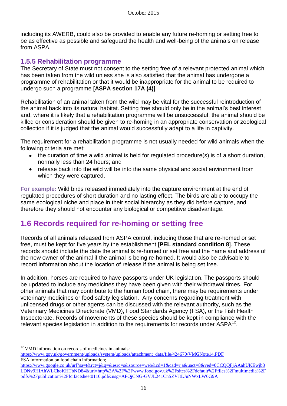including its AWERB, could also be provided to enable any future re-homing or setting free to be as effective as possible and safeguard the health and well-being of the animals on release from ASPA.

### **1.5.5 Rehabilitation programme**

The Secretary of State must not consent to the setting free of a relevant protected animal which has been taken from the wild unless she is also satisfied that the animal has undergone a programme of rehabilitation or that it would be inappropriate for the animal to be required to undergo such a programme [**ASPA section 17A (4)**].

Rehabilitation of an animal taken from the wild may be vital for the successful reintroduction of the animal back into its natural habitat. Setting free should only be in the animal's best interest and, where it is likely that a rehabilitation programme will be unsuccessful, the animal should be killed or consideration should be given to re-homing in an appropriate conservation or zoological collection if it is judged that the animal would successfully adapt to a life in captivity.

The requirement for a rehabilitation programme is not usually needed for wild animals when the following criteria are met:

- the duration of time a wild animal is held for regulated procedure(s) is of a short duration, normally less than 24 hours; and
- release back into the wild will be into the same physical and social environment from  $\bullet$ which they were captured.

**For example:** Wild birds released immediately into the capture environment at the end of regulated procedures of short duration and no lasting effect. The birds are able to occupy the same ecological niche and place in their social hierarchy as they did before capture, and therefore they should not encounter any biological or competitive disadvantage.

# **1.6 Records required for re-homing or setting free**

Records of all animals released from ASPA control, including those that are re-homed or set free, must be kept for five years by the establishment [**PEL standard condition 8**]. These records should include the date the animal is re-homed or set free and the name and address of the new owner of the animal if the animal is being re-homed. It would also be advisable to record information about the location of release if the animal is being set free.

In addition, horses are required to have passports under UK legislation. The passports should be updated to include any medicines they have been given with their withdrawal times. For other animals that may contribute to the human food chain, there may be requirements under veterinary medicines or food safety legislation. Any concerns regarding treatment with unlicensed drugs or other agents can be discussed with the relevant authority, such as the Veterinary Medicines Directorate (VMD), Food Standards Agency (FSA), or the Fish Health Inspectorate. Records of movements of these species should be kept in compliance with the relevant species legislation in addition to the requirements for records under  $ASPA^{12}$ .

 $\overline{a}$ 

<sup>&</sup>lt;sup>12</sup> VMD information on records of medicines in animals:

[https://www.gov.uk/government/uploads/system/uploads/attachment\\_data/file/424670/VMGNote14.PDF](https://www.gov.uk/government/uploads/system/uploads/attachment_data/file/424670/VMGNote14.PDF) FSA information on food chain information;

[https://www.google.co.uk/url?sa=t&rct=j&q=&esrc=s&source=web&cd=1&cad=rja&uact=8&ved=0CCQQFjAAahUKEwjb3](https://www.google.co.uk/url?sa=t&rct=j&q=&esrc=s&source=web&cd=1&cad=rja&uact=8&ved=0CCQQFjAAahUKEwjb3LDNv9HIAhWLChoKHTbND84&url=http%3A%2F%2Fwww.food.gov.uk%2Fsites%2Fdefault%2Ffiles%2Fmultimedia%2Fpdfs%2Fpublication%2Ffcifactsheet0110.pdf&usg=AFQjCNG-GVJL241CnSZVJtLJuNWxLW6G9A) [LDNv9HIAhWLChoKHTbND84&url=http%3A%2F%2Fwww.food.gov.uk%2Fsites%2Fdefault%2Ffiles%2Fmultimedia%2F](https://www.google.co.uk/url?sa=t&rct=j&q=&esrc=s&source=web&cd=1&cad=rja&uact=8&ved=0CCQQFjAAahUKEwjb3LDNv9HIAhWLChoKHTbND84&url=http%3A%2F%2Fwww.food.gov.uk%2Fsites%2Fdefault%2Ffiles%2Fmultimedia%2Fpdfs%2Fpublication%2Ffcifactsheet0110.pdf&usg=AFQjCNG-GVJL241CnSZVJtLJuNWxLW6G9A) [pdfs%2Fpublication%2Ffcifactsheet0110.pdf&usg=AFQjCNG-GVJL241CnSZVJtLJuNWxLW6G9A](https://www.google.co.uk/url?sa=t&rct=j&q=&esrc=s&source=web&cd=1&cad=rja&uact=8&ved=0CCQQFjAAahUKEwjb3LDNv9HIAhWLChoKHTbND84&url=http%3A%2F%2Fwww.food.gov.uk%2Fsites%2Fdefault%2Ffiles%2Fmultimedia%2Fpdfs%2Fpublication%2Ffcifactsheet0110.pdf&usg=AFQjCNG-GVJL241CnSZVJtLJuNWxLW6G9A)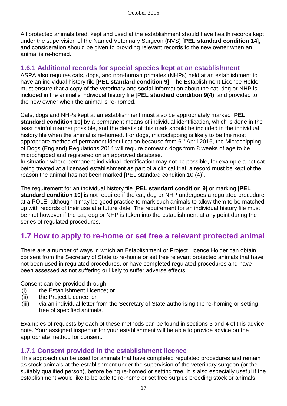All protected animals bred, kept and used at the establishment should have health records kept under the supervision of the Named Veterinary Surgeon (NVS) [**PEL standard condition 14**], and consideration should be given to providing relevant records to the new owner when an animal is re-homed.

### **1.6.1 Additional records for special species kept at an establishment**

ASPA also requires cats, dogs, and non-human primates (NHPs) held at an establishment to have an individual history file [**PEL standard condition 9**]. The Establishment Licence Holder must ensure that a copy of the veterinary and social information about the cat, dog or NHP is included in the animal's individual history file [**PEL standard condition 9(4)**] and provided to the new owner when the animal is re-homed.

Cats, dogs and NHPs kept at an establishment must also be appropriately marked [**PEL standard condition 10**] by a permanent means of individual identification, which is done in the least painful manner possible, and the details of this mark should be included in the individual history file when the animal is re-homed. For dogs, microchipping is likely to be the most appropriate method of permanent identification because from  $6<sup>th</sup>$  April 2016, the Microchipping of Dogs (England) Regulations 2014 will require domestic dogs from 8 weeks of age to be microchipped and registered on an approved database.

In situation where permanent individual identification may not be possible, for example a pet cat being treated at a licensed establishment as part of a clinical trial, a record must be kept of the reason the animal has not been marked [PEL standard condition 10 (4)].

The requirement for an individual history file [**PEL standard condition 9**] or marking [**PEL standard condition 10**] is not required if the cat, dog or NHP undergoes a regulated procedure at a POLE, although it may be good practice to mark such animals to allow them to be matched up with records of their use at a future date. The requirement for an individual history file must be met however if the cat, dog or NHP is taken into the establishment at any point during the series of regulated procedures.

# **1.7 How to apply to re-home or set free a relevant protected animal**

There are a number of ways in which an Establishment or Project Licence Holder can obtain consent from the Secretary of State to re-home or set free relevant protected animals that have not been used in regulated procedures, or have completed regulated procedures and have been assessed as not suffering or likely to suffer adverse effects.

Consent can be provided through:

- (i) the Establishment Licence; or
- (ii) the Project Licence; or
- (iii) via an individual letter from the Secretary of State authorising the re-homing or setting free of specified animals.

Examples of requests by each of these methods can be found in sections 3 and 4 of this advice note. Your assigned inspector for your establishment will be able to provide advice on the appropriate method for consent.

### **1.7.1 Consent provided in the establishment licence**

This approach can be used for animals that have completed regulated procedures and remain as stock animals at the establishment under the supervision of the veterinary surgeon (or the suitably qualified person), before being re-homed or setting free. It is also especially useful if the establishment would like to be able to re-home or set free surplus breeding stock or animals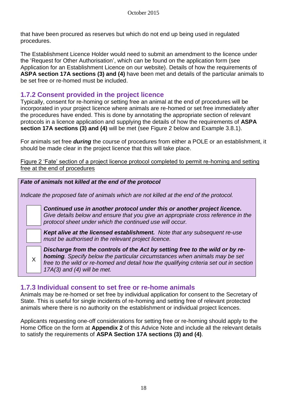that have been procured as reserves but which do not end up being used in regulated procedures.

The Establishment Licence Holder would need to submit an amendment to the licence under the 'Request for Other Authorisation', which can be found on the application form (see Application for an Establishment Licence on our website). Details of how the requirements of **ASPA section 17A sections (3) and (4)** have been met and details of the particular animals to be set free or re-homed must be included.

## **1.7.2 Consent provided in the project licence**

Typically, consent for re-homing or setting free an animal at the end of procedures will be incorporated in your project licence where animals are re-homed or set free immediately after the procedures have ended. This is done by annotating the appropriate section of relevant protocols in a licence application and supplying the details of how the requirements of **ASPA section 17A sections (3) and (4)** will be met (see Figure 2 below and Example 3.8.1).

For animals set free *during* the course of procedures from either a POLE or an establishment, it should be made clear in the project licence that this will take place.

Figure 2 'Fate' section of a project licence protocol completed to permit re-homing and setting free at the end of procedures



### **1.7.3 Individual consent to set free or re-home animals**

Animals may be re-homed or set free by individual application for consent to the Secretary of State. This is useful for single incidents of re-homing and setting free of relevant protected animals where there is no authority on the establishment or individual project licences.

Applicants requesting one-off considerations for setting free or re-homing should apply to the Home Office on the form at **Appendix 2** of this Advice Note and include all the relevant details to satisfy the requirements of **ASPA Section 17A sections (3) and (4)**.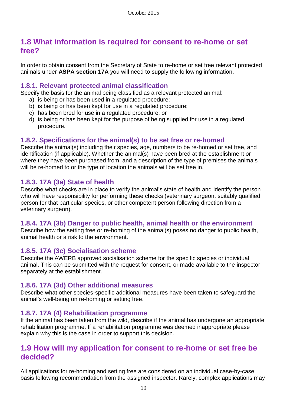## **1.8 What information is required for consent to re-home or set free?**

In order to obtain consent from the Secretary of State to re-home or set free relevant protected animals under **ASPA section 17A** you will need to supply the following information.

#### **1.8.1. Relevant protected animal classification**

Specify the basis for the animal being classified as a relevant protected animal:

- a) is being or has been used in a regulated procedure;
- b) is being or has been kept for use in a regulated procedure;
- c) has been bred for use in a regulated procedure; or
- d) is being or has been kept for the purpose of being supplied for use in a regulated procedure.

## **1.8.2. Specifications for the animal(s) to be set free or re-homed**

Describe the animal(s) including their species, age, numbers to be re-homed or set free, and identification (if applicable). Whether the animal(s) have been bred at the establishment or where they have been purchased from, and a description of the type of premises the animals will be re-homed to or the type of location the animals will be set free in.

### **1.8.3. 17A (3a) State of health**

Describe what checks are in place to verify the animal's state of health and identify the person who will have responsibility for performing these checks (veterinary surgeon, suitably qualified person for that particular species, or other competent person following direction from a veterinary surgeon).

### **1.8.4. 17A (3b) Danger to public health, animal health or the environment**

Describe how the setting free or re-homing of the animal(s) poses no danger to public health, animal health or a risk to the environment.

### **1.8.5. 17A (3c) Socialisation scheme**

Describe the AWERB approved socialisation scheme for the specific species or individual animal. This can be submitted with the request for consent, or made available to the inspector separately at the establishment.

### **1.8.6. 17A (3d) Other additional measures**

Describe what other species-specific additional measures have been taken to safeguard the animal's well-being on re-homing or setting free.

### **1.8.7. 17A (4) Rehabilitation programme**

If the animal has been taken from the wild, describe if the animal has undergone an appropriate rehabilitation programme. If a rehabilitation programme was deemed inappropriate please explain why this is the case in order to support this decision.

## **1.9 How will my application for consent to re-home or set free be decided?**

All applications for re-homing and setting free are considered on an individual case-by-case basis following recommendation from the assigned inspector. Rarely, complex applications may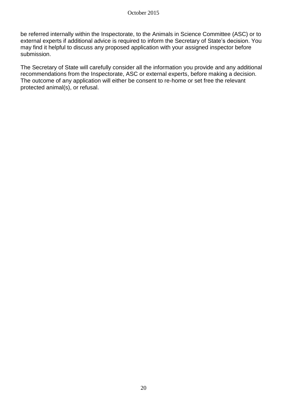be referred internally within the Inspectorate, to the Animals in Science Committee (ASC) or to external experts if additional advice is required to inform the Secretary of State's decision. You may find it helpful to discuss any proposed application with your assigned inspector before submission.

The Secretary of State will carefully consider all the information you provide and any additional recommendations from the Inspectorate, ASC or external experts, before making a decision. The outcome of any application will either be consent to re-home or set free the relevant protected animal(s), or refusal.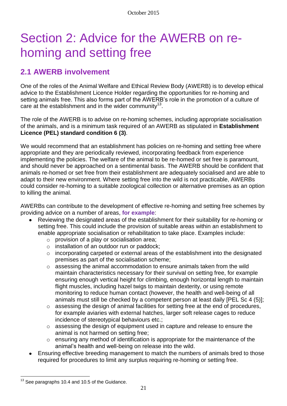# Section 2: Advice for the AWERB on rehoming and setting free

# **2.1 AWERB involvement**

One of the roles of the Animal Welfare and Ethical Review Body (AWERB) is to develop ethical advice to the Establishment Licence Holder regarding the opportunities for re-homing and setting animals free. This also forms part of the AWERB's role in the promotion of a culture of care at the establishment and in the wider community<sup>13</sup>.

The role of the AWERB is to advise on re-homing schemes, including appropriate socialisation of the animals, and is a minimum task required of an AWERB as stipulated in **Establishment Licence (PEL) standard condition 6 (3)**.

We would recommend that an establishment has policies on re-homing and setting free where appropriate and they are periodically reviewed, incorporating feedback from experience implementing the policies. The welfare of the animal to be re-homed or set free is paramount, and should never be approached on a sentimental basis. The AWERB should be confident that animals re-homed or set free from their establishment are adequately socialised and are able to adapt to their new environment. Where setting free into the wild is not practicable, AWERBs could consider re-homing to a suitable zoological collection or alternative premises as an option to killing the animal.

AWERBs can contribute to the development of effective re-homing and setting free schemes by providing advice on a number of areas, **for example**:

- Reviewing the designated areas of the establishment for their suitability for re-homing or setting free. This could include the provision of suitable areas within an establishment to enable appropriate socialisation or rehabilitation to take place. Examples include:
	- o provision of a play or socialisation area;
	- o installation of an outdoor run or paddock;
	- o incorporating carpeted or external areas of the establishment into the designated premises as part of the socialisation scheme;
	- o assessing the animal accommodation to ensure animals taken from the wild maintain characteristics necessary for their survival on setting free, for example ensuring enough vertical height for climbing, enough horizontal length to maintain flight muscles, including hazel twigs to maintain dexterity, or using remote monitoring to reduce human contact (however, the health and well-being of all animals must still be checked by a competent person at least daily [PEL Sc 4 (5)];
	- o assessing the design of animal facilities for setting free at the end of procedures, for example aviaries with external hatches, larger soft release cages to reduce incidence of stereotypical behaviours etc.;
	- o assessing the design of equipment used in capture and release to ensure the animal is not harmed on setting free;
	- o ensuring any method of identification is appropriate for the maintenance of the animal's health and well-being on release into the wild.
- Ensuring effective breeding management to match the numbers of animals bred to those required for procedures to limit any surplus requiring re-homing or setting free.

 $\overline{a}$ 

 $13$  See paragraphs 10.4 and 10.5 of the Guidance.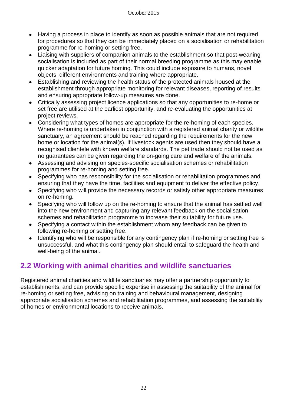- Having a process in place to identify as soon as possible animals that are not required  $\bullet$ for procedures so that they can be immediately placed on a socialisation or rehabilitation programme for re-homing or setting free.
- Liaising with suppliers of companion animals to the establishment so that post-weaning socialisation is included as part of their normal breeding programme as this may enable quicker adaptation for future homing. This could include exposure to humans, novel objects, different environments and training where appropriate.
- Establishing and reviewing the health status of the protected animals housed at the establishment through appropriate monitoring for relevant diseases, reporting of results and ensuring appropriate follow-up measures are done.
- Critically assessing project licence applications so that any opportunities to re-home or set free are utilised at the earliest opportunity, and re-evaluating the opportunities at project reviews.
- Considering what types of homes are appropriate for the re-homing of each species. Where re-homing is undertaken in conjunction with a registered animal charity or wildlife sanctuary, an agreement should be reached regarding the requirements for the new home or location for the animal(s). If livestock agents are used then they should have a recognised clientele with known welfare standards. The pet trade should not be used as no guarantees can be given regarding the on-going care and welfare of the animals.
- Assessing and advising on species-specific socialisation schemes or rehabilitation programmes for re-homing and setting free.
- Specifying who has responsibility for the socialisation or rehabilitation programmes and  $\bullet$ ensuring that they have the time, facilities and equipment to deliver the effective policy.
- Specifying who will provide the necessary records or satisfy other appropriate measures  $\bullet$ on re-homing.
- Specifying who will follow up on the re-homing to ensure that the animal has settled well  $\bullet$ into the new environment and capturing any relevant feedback on the socialisation schemes and rehabilitation programme to increase their suitability for future use.
- Specifying a contact within the establishment whom any feedback can be given to following re-homing or setting free.
- Identifying who will be responsible for any contingency plan if re-homing or setting free is unsuccessful, and what this contingency plan should entail to safeguard the health and well-being of the animal.

# **2.2 Working with animal charities and wildlife sanctuaries**

Registered animal charities and wildlife sanctuaries may offer a partnership opportunity to establishments, and can provide specific expertise in assessing the suitability of the animal for re-homing or setting free, advising on training and behavioural management, designing appropriate socialisation schemes and rehabilitation programmes, and assessing the suitability of homes or environmental locations to receive animals.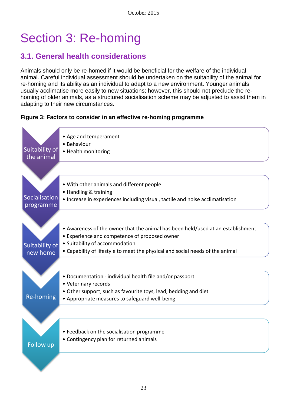# Section 3: Re-homing

# **3.1. General health considerations**

Animals should only be re-homed if it would be beneficial for the welfare of the individual animal. Careful individual assessment should be undertaken on the suitability of the animal for re-homing and its ability as an individual to adapt to a new environment. Younger animals usually acclimatise more easily to new situations; however, this should not preclude the rehoming of older animals, as a structured socialisation scheme may be adjusted to assist them in adapting to their new circumstances.

#### **Figure 3: Factors to consider in an effective re-homing programme**

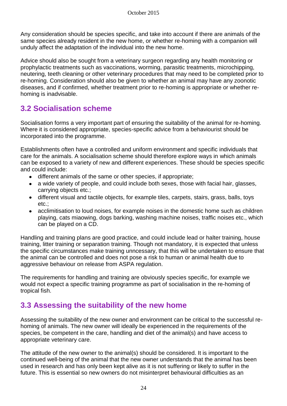Any consideration should be species specific, and take into account if there are animals of the same species already resident in the new home, or whether re-homing with a companion will unduly affect the adaptation of the individual into the new home.

Advice should also be sought from a veterinary surgeon regarding any health monitoring or prophylactic treatments such as vaccinations, worming, parasitic treatments, microchipping, neutering, teeth cleaning or other veterinary procedures that may need to be completed prior to re-homing. Consideration should also be given to whether an animal may have any zoonotic diseases, and if confirmed, whether treatment prior to re-homing is appropriate or whether rehoming is inadvisable.

# **3.2 Socialisation scheme**

Socialisation forms a very important part of ensuring the suitability of the animal for re-homing. Where it is considered appropriate, species-specific advice from a behaviourist should be incorporated into the programme.

Establishments often have a controlled and uniform environment and specific individuals that care for the animals. A socialisation scheme should therefore explore ways in which animals can be exposed to a variety of new and different experiences. These should be species specific and could include:

- different animals of the same or other species, if appropriate;  $\bullet$
- a wide variety of people, and could include both sexes, those with facial hair, glasses, carrying objects etc.;
- $\bullet$ different visual and tactile objects, for example tiles, carpets, stairs, grass, balls, toys etc.;
- acclimitisation to loud noises, for example noises in the domestic home such as children  $\bullet$ playing, cats miaowing, dogs barking, washing machine noises, traffic noises etc., which can be played on a CD.

Handling and training plans are good practice, and could include lead or halter training, house training, litter training or separation training. Though not mandatory, it is expected that unless the specific circumstances make training unncessary, that this will be undertaken to ensure that the animal can be controlled and does not pose a risk to human or animal health due to aggressive behaviour on release from ASPA regulation.

The requirements for handling and training are obviously species specific, for example we would not expect a specific training programme as part of socialisation in the re-homing of tropical fish.

# **3.3 Assessing the suitability of the new home**

Assessing the suitability of the new owner and environment can be critical to the successful rehoming of animals. The new owner will ideally be experienced in the requirements of the species, be competent in the care, handling and diet of the animal(s) and have access to appropriate veterinary care.

The attitude of the new owner to the animal(s) should be considered. It is important to the continued well-being of the animal that the new owner understands that the animal has been used in research and has only been kept alive as it is not suffering or likely to suffer in the future. This is essential so new owners do not misinterpret behavioural difficulties as an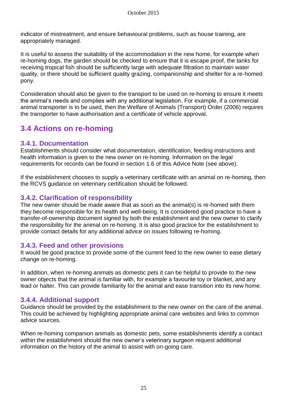indicator of mistreatment, and ensure behavioural problems, such as house training, are appropriately managed.

It is useful to assess the suitability of the accommodation in the new home, for example when re-homing dogs, the garden should be checked to ensure that it is escape proof, the tanks for receiving tropical fish should be sufficiently large with adequate filtration to maintain water quality, or there should be sufficient quality grazing, companionship and shelter for a re-homed pony.

Consideration should also be given to the transport to be used on re-homing to ensure it meets the animal's needs and complies with any additional legislation. For example, if a commercial animal transporter is to be used, then the Welfare of Animals (Transport) Order (2006) requires the transporter to have authorisation and a certificate of vehicle approval.

# **3.4 Actions on re-homing**

## **3.4.1. Documentation**

Establishments should consider what documentation, identification, feeding instructions and health information is given to the new owner on re-homing. Information on the legal requirements for records can be found in section 1.6 of this Advice Note (see above).

If the establishment chooses to supply a veterinary certificate with an animal on re-homing, then the RCVS guidance on veterinary certification should be followed.

## **3.4.2. Clarification of responsibility**

The new owner should be made aware that as soon as the animal(s) is re-homed with them they become responsible for its health and well-being. It is considered good practice to have a transfer-of-ownership document signed by both the establishment and the new owner to clarify the responsibility for the animal on re-homing. It is also good practice for the establishment to provide contact details for any additional advice on issues following re-homing.

### **3.4.3. Feed and other provisions**

It would be good practice to provide some of the current feed to the new owner to ease dietary change on re-homing.

In addition, when re-homing animals as domestic pets it can be helpful to provide to the new owner objects that the animal is familiar with, for example a favourite toy or blanket, and any lead or halter. This can provide familiarity for the animal and ease transition into its new home.

## **3.4.4. Additional support**

Guidance should be provided by the establishment to the new owner on the care of the animal. This could be achieved by highlighting appropriate animal care websites and links to common advice sources.

When re-homing companion animals as domestic pets, some establishments identify a contact within the establishment should the new owner's veterinary surgeon request additional information on the history of the animal to assist with on-going care.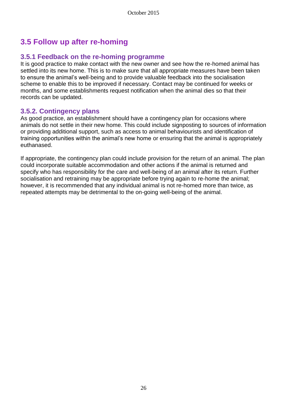# **3.5 Follow up after re-homing**

## **3.5.1 Feedback on the re-homing programme**

It is good practice to make contact with the new owner and see how the re-homed animal has settled into its new home. This is to make sure that all appropriate measures have been taken to ensure the animal's well-being and to provide valuable feedback into the socialisation scheme to enable this to be improved if necessary. Contact may be continued for weeks or months, and some establishments request notification when the animal dies so that their records can be updated.

## **3.5.2. Contingency plans**

As good practice, an establishment should have a contingency plan for occasions where animals do not settle in their new home. This could include signposting to sources of information or providing additional support, such as access to animal behaviourists and identification of training opportunities within the animal's new home or ensuring that the animal is appropriately euthanased.

If appropriate, the contingency plan could include provision for the return of an animal. The plan could incorporate suitable accommodation and other actions if the animal is returned and specify who has responsibility for the care and well-being of an animal after its return. Further socialisation and retraining may be appropriate before trying again to re-home the animal; however, it is recommended that any individual animal is not re-homed more than twice, as repeated attempts may be detrimental to the on-going well-being of the animal.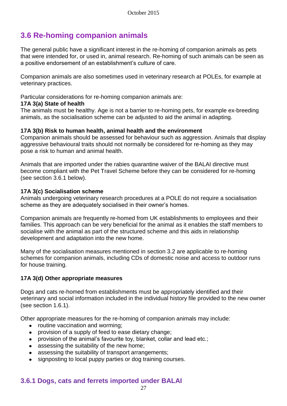# **3.6 Re-homing companion animals**

The general public have a significant interest in the re-homing of companion animals as pets that were intended for, or used in, animal research. Re-homing of such animals can be seen as a positive endorsement of an establishment's culture of care.

Companion animals are also sometimes used in veterinary research at POLEs, for example at veterinary practices.

Particular considerations for re-homing companion animals are:

#### **17A 3(a) State of health**

The animals must be healthy. Age is not a barrier to re-homing pets, for example ex-breeding animals, as the socialisation scheme can be adjusted to aid the animal in adapting.

#### **17A 3(b) Risk to human health, animal health and the environment**

Companion animals should be assessed for behaviour such as aggression. Animals that display aggressive behavioural traits should not normally be considered for re-homing as they may pose a risk to human and animal health.

Animals that are imported under the rabies quarantine waiver of the BALAI directive must become compliant with the Pet Travel Scheme before they can be considered for re-homing (see section 3.6.1 below).

#### **17A 3(c) Socialisation scheme**

Animals undergoing veterinary research procedures at a POLE do not require a socialisation scheme as they are adequately socialised in their owner's homes.

Companion animals are frequently re-homed from UK establishments to employees and their families. This approach can be very beneficial for the animal as it enables the staff members to socialise with the animal as part of the structured scheme and this aids in relationship development and adaptation into the new home.

Many of the socialisation measures mentioned in section 3.2 are applicable to re-homing schemes for companion animals, including CDs of domestic noise and access to outdoor runs for house training.

#### **17A 3(d) Other appropriate measures**

Dogs and cats re-homed from establishments must be appropriately identified and their veterinary and social information included in the individual history file provided to the new owner (see section 1.6.1).

Other appropriate measures for the re-homing of companion animals may include:

- routine vaccination and worming;  $\bullet$
- provision of a supply of feed to ease dietary change;
- provision of the animal's favourite toy, blanket, collar and lead etc.;  $\bullet$
- assessing the suitability of the new home;
- assessing the suitability of transport arrangements;  $\bullet$
- signposting to local puppy parties or dog training courses.

## **3.6.1 Dogs, cats and ferrets imported under BALAI**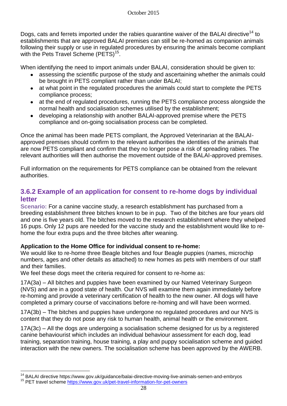Dogs, cats and ferrets imported under the rabies quarantine waiver of the BALAI directive<sup>14</sup> to establishments that are approved BALAI premises can still be re-homed as companion animals following their supply or use in regulated procedures by ensuring the animals become compliant with the Pets Travel Scheme (PETS)<sup>15</sup>.

When identifying the need to import animals under BALAI, consideration should be given to:

- assessing the scientific purpose of the study and ascertaining whether the animals could be brought in PETS compliant rather than under BALAI;
- at what point in the regulated procedures the animals could start to complete the PETS compliance process;
- at the end of regulated procedures, running the PETS compliance process alongside the normal health and socialisation schemes utilised by the establishment;
- developing a relationship with another BALAI-approved premise where the PETS compliance and on-going socialisation process can be completed.

Once the animal has been made PETS compliant, the Approved Veterinarian at the BALAIapproved premises should confirm to the relevant authorities the identities of the animals that are now PETS compliant and confirm that they no longer pose a risk of spreading rabies. The relevant authorities will then authorise the movement outside of the BALAI-approved premises.

Full information on the requirements for PETS compliance can be obtained from the relevant authorities.

## **3.6.2 Example of an application for consent to re-home dogs by individual letter**

**Scenario:** For a canine vaccine study, a research establishment has purchased from a breeding establishment three bitches known to be in pup. Two of the bitches are four years old and one is five years old. The bitches moved to the research establishment where they whelped 16 pups. Only 12 pups are needed for the vaccine study and the establishment would like to rehome the four extra pups and the three bitches after weaning.

#### **Application to the Home Office for individual consent to re-home:**

We would like to re-home three Beagle bitches and four Beagle puppies (names, microchip numbers, ages and other details as attached) to new homes as pets with members of our staff and their families.

We feel these dogs meet the criteria required for consent to re-home as:

17A(3a) – All bitches and puppies have been examined by our Named Veterinary Surgeon (NVS) and are in a good state of health. Our NVS will examine them again immediately before re-homing and provide a veterinary certification of health to the new owner. All dogs will have completed a primary course of vaccinations before re-homing and will have been wormed.

17A(3b) – The bitches and puppies have undergone no regulated procedures and our NVS is content that they do not pose any risk to human health, animal health or the environment.

17A(3c) – All the dogs are undergoing a socialisation scheme designed for us by a registered canine behaviourist which includes an individual behaviour assessment for each dog, lead training, separation training, house training, a play and puppy socialisation scheme and guided interaction with the new owners. The socialisation scheme has been approved by the AWERB.

 $\overline{a}$ 

<sup>&</sup>lt;sup>14</sup> BALAI directive https://www.gov.uk/guidance/balai-directive-moving-live-animals-semen-and-embryos

<sup>&</sup>lt;sup>15</sup> PET travel scheme<https://www.gov.uk/pet-travel-information-for-pet-owners>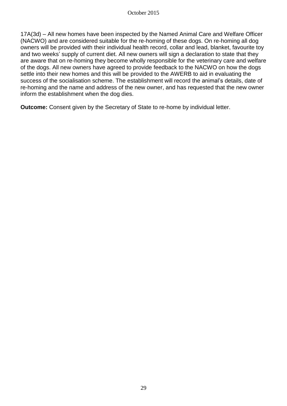17A(3d) – All new homes have been inspected by the Named Animal Care and Welfare Officer (NACWO) and are considered suitable for the re-homing of these dogs. On re-homing all dog owners will be provided with their individual health record, collar and lead, blanket, favourite toy and two weeks' supply of current diet. All new owners will sign a declaration to state that they are aware that on re-homing they become wholly responsible for the veterinary care and welfare of the dogs. All new owners have agreed to provide feedback to the NACWO on how the dogs settle into their new homes and this will be provided to the AWERB to aid in evaluating the success of the socialisation scheme. The establishment will record the animal's details, date of re-homing and the name and address of the new owner, and has requested that the new owner inform the establishment when the dog dies.

**Outcome:** Consent given by the Secretary of State to re-home by individual letter.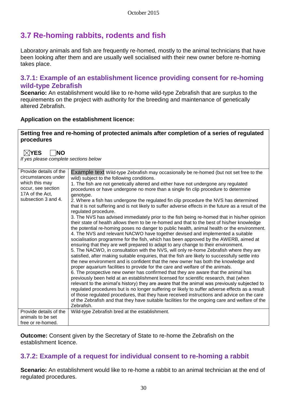# **3.7 Re-homing rabbits, rodents and fish**

Laboratory animals and fish are frequently re-homed, mostly to the animal technicians that have been looking after them and are usually well socialised with their new owner before re-homing takes place.

### **3.7.1: Example of an establishment licence providing consent for re-homing wild-type Zebrafish**

**Scenario:** An establishment would like to re-home wild-type Zebrafish that are surplus to the requirements on the project with authority for the breeding and maintenance of genetically altered Zebrafish.

#### **Application on the establishment licence:**

#### **Setting free and re-homing of protected animals after completion of a series of regulated procedures**

| $\boxtimes$ YES<br><b>INO</b><br>If yes please complete sections below                                                          |                                                                                                                                                                                                                                                                                                                                                                                                                                                                                                                                                                                                                                                                                                                                                                                                                                                                                                                                                                                                                                                                                                                                                                                                                                                                                                                                                                                                                                                                                                                                                                                                                                                                                                                                                                                                                                                                                                                                                                                                                                                                                            |
|---------------------------------------------------------------------------------------------------------------------------------|--------------------------------------------------------------------------------------------------------------------------------------------------------------------------------------------------------------------------------------------------------------------------------------------------------------------------------------------------------------------------------------------------------------------------------------------------------------------------------------------------------------------------------------------------------------------------------------------------------------------------------------------------------------------------------------------------------------------------------------------------------------------------------------------------------------------------------------------------------------------------------------------------------------------------------------------------------------------------------------------------------------------------------------------------------------------------------------------------------------------------------------------------------------------------------------------------------------------------------------------------------------------------------------------------------------------------------------------------------------------------------------------------------------------------------------------------------------------------------------------------------------------------------------------------------------------------------------------------------------------------------------------------------------------------------------------------------------------------------------------------------------------------------------------------------------------------------------------------------------------------------------------------------------------------------------------------------------------------------------------------------------------------------------------------------------------------------------------|
| Provide details of the<br>circumstances under<br>which this may<br>occur, see section<br>17A of the Act,<br>subsection 3 and 4. | Example text Wild-type Zebrafish may occasionally be re-homed (but not set free to the<br>wild) subject to the following conditions.<br>1. The fish are not genetically altered and either have not undergone any regulated<br>procedures or have undergone no more than a single fin clip procedure to determine<br>genotype.<br>2. Where a fish has undergone the regulated fin clip procedure the NVS has determined<br>that it is not suffering and is not likely to suffer adverse effects in the future as a result of the<br>regulated procedure.<br>3. The NVS has advised immediately prior to the fish being re-homed that in his/her opinion<br>their state of health allows them to be re-homed and that to the best of his/her knowledge<br>the potential re-homing poses no danger to public health, animal health or the environment.<br>4. The NVS and relevant NACWO have together devised and implemented a suitable<br>socialisation programme for the fish, which has been approved by the AWERB, aimed at<br>ensuring that they are well prepared to adapt to any change to their environment.<br>5. The NACWO, in consultation with the NVS, will only re-home Zebrafish where they are<br>satisfied, after making suitable enquiries, that the fish are likely to successfully settle into<br>the new environment and is confident that the new owner has both the knowledge and<br>proper aquarium facilities to provide for the care and welfare of the animals.<br>6. The prospective new owner has confirmed that they are aware that the animal has<br>previously been held at an establishment licensed for scientific research, that (when<br>relevant to the animal's history) they are aware that the animal was previously subjected to<br>regulated procedures but is no longer suffering or likely to suffer adverse effects as a result<br>of those regulated procedures, that they have received instructions and advice on the care<br>of the Zebrafish and that they have suitable facilities for the ongoing care and welfare of the<br>Zebrafish. |
| Provide details of the                                                                                                          | Wild-type Zebrafish bred at the establishment.                                                                                                                                                                                                                                                                                                                                                                                                                                                                                                                                                                                                                                                                                                                                                                                                                                                                                                                                                                                                                                                                                                                                                                                                                                                                                                                                                                                                                                                                                                                                                                                                                                                                                                                                                                                                                                                                                                                                                                                                                                             |
| animals to be set                                                                                                               |                                                                                                                                                                                                                                                                                                                                                                                                                                                                                                                                                                                                                                                                                                                                                                                                                                                                                                                                                                                                                                                                                                                                                                                                                                                                                                                                                                                                                                                                                                                                                                                                                                                                                                                                                                                                                                                                                                                                                                                                                                                                                            |
| free or re-homed.                                                                                                               |                                                                                                                                                                                                                                                                                                                                                                                                                                                                                                                                                                                                                                                                                                                                                                                                                                                                                                                                                                                                                                                                                                                                                                                                                                                                                                                                                                                                                                                                                                                                                                                                                                                                                                                                                                                                                                                                                                                                                                                                                                                                                            |

**Outcome:** Consent given by the Secretary of State to re-home the Zebrafish on the establishment licence.

## **3.7.2: Example of a request for individual consent to re-homing a rabbit**

**Scenario:** An establishment would like to re-home a rabbit to an animal technician at the end of regulated procedures.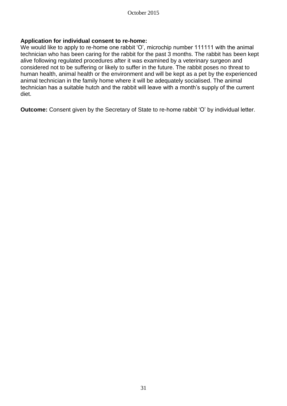#### **Application for individual consent to re-home:**

We would like to apply to re-home one rabbit 'O', microchip number 111111 with the animal technician who has been caring for the rabbit for the past 3 months. The rabbit has been kept alive following regulated procedures after it was examined by a veterinary surgeon and considered not to be suffering or likely to suffer in the future. The rabbit poses no threat to human health, animal health or the environment and will be kept as a pet by the experienced animal technician in the family home where it will be adequately socialised. The animal technician has a suitable hutch and the rabbit will leave with a month's supply of the current diet.

**Outcome:** Consent given by the Secretary of State to re-home rabbit 'O' by individual letter.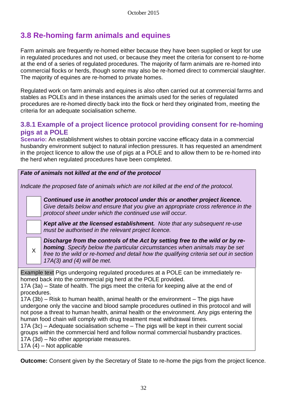# **3.8 Re-homing farm animals and equines**

Farm animals are frequently re-homed either because they have been supplied or kept for use in regulated procedures and not used, or because they meet the criteria for consent to re-home at the end of a series of regulated procedures. The majority of farm animals are re-homed into commercial flocks or herds, though some may also be re-homed direct to commercial slaughter. The majority of equines are re-homed to private homes.

Regulated work on farm animals and equines is also often carried out at commercial farms and stables as POLEs and in these instances the animals used for the series of regulated procedures are re-homed directly back into the flock or herd they originated from, meeting the criteria for an adequate socialisation scheme.

## **3.8.1 Example of a project licence protocol providing consent for re-homing pigs at a POLE**

**Scenario:** An establishment wishes to obtain porcine vaccine efficacy data in a commercial husbandry environment subject to natural infection pressures. It has requested an amendment in the project licence to allow the use of pigs at a POLE and to allow them to be re-homed into the herd when regulated procedures have been completed.

#### *Fate of animals* **not** *killed at the end of the protocol*

*Indicate the proposed fate of animals which are not killed at the end of the protocol.* 

*Continued use in another protocol under this or another project licence. Give details below and ensure that you give an appropriate cross reference in the protocol sheet under which the continued use will occur.*

*Kept alive at the licensed establishment. Note that any subsequent re-use must be authorised in the relevant project licence.*

X

*Discharge from the controls of the Act by setting free to the wild or by rehoming. Specify below the particular circumstances when animals may be set free to the wild or re-homed and detail how the qualifying criteria set out in section 17A(3) and (4) will be met.*

Example text Pigs undergoing regulated procedures at a POLE can be immediately rehomed back into the commercial pig herd at the POLE provided.

17A (3a) – State of health. The pigs meet the criteria for keeping alive at the end of procedures.

17A (3b) – Risk to human health, animal health or the environment – The pigs have undergone only the vaccine and blood sample procedures outlined in this protocol and will not pose a threat to human health, animal health or the environment. Any pigs entering the human food chain will comply with drug treatment meat withdrawal times.

17A (3c) – Adequate socialisation scheme – The pigs will be kept in their current social groups within the commercial herd and follow normal commercial husbandry practices. 17A (3d) – No other appropriate measures. 17A (4) – Not applicable

**Outcome:** Consent given by the Secretary of State to re-home the pigs from the project licence.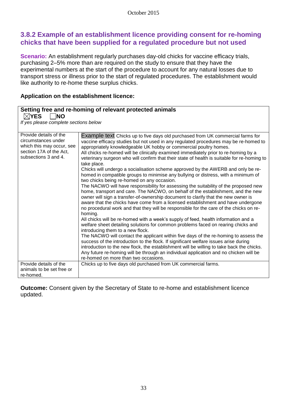## **3.8.2 Example of an establishment licence providing consent for re-homing chicks that have been supplied for a regulated procedure but not used**

**Scenario:** An establishment regularly purchases day-old chicks for vaccine efficacy trials, purchasing 2–5% more than are required on the study to ensure that they have the experimental numbers at the start of the procedure to account for any natural losses due to transport stress or illness prior to the start of regulated procedures. The establishment would like authority to re-home these surplus chicks.

#### **Application on the establishment licence:**

| $\boxtimes$ YES<br><b>NO</b>                                                                                                  | Setting free and re-homing of relevant protected animals                                                                                                                                                                                                                                                                                                                                                                                                                                                                                                                                                                                                                                                                                                                                                                                                                                                                                                                                                                                                                                                                                                                                                                                                                                                                                                                                                                                                                                                                                                                                                                                                                                                                                                               |
|-------------------------------------------------------------------------------------------------------------------------------|------------------------------------------------------------------------------------------------------------------------------------------------------------------------------------------------------------------------------------------------------------------------------------------------------------------------------------------------------------------------------------------------------------------------------------------------------------------------------------------------------------------------------------------------------------------------------------------------------------------------------------------------------------------------------------------------------------------------------------------------------------------------------------------------------------------------------------------------------------------------------------------------------------------------------------------------------------------------------------------------------------------------------------------------------------------------------------------------------------------------------------------------------------------------------------------------------------------------------------------------------------------------------------------------------------------------------------------------------------------------------------------------------------------------------------------------------------------------------------------------------------------------------------------------------------------------------------------------------------------------------------------------------------------------------------------------------------------------------------------------------------------------|
| If yes please complete sections below                                                                                         |                                                                                                                                                                                                                                                                                                                                                                                                                                                                                                                                                                                                                                                                                                                                                                                                                                                                                                                                                                                                                                                                                                                                                                                                                                                                                                                                                                                                                                                                                                                                                                                                                                                                                                                                                                        |
| Provide details of the<br>circumstances under<br>which this may occur, see<br>section 17A of the Act,<br>subsections 3 and 4. | <b>Example text Chicks up to five days old purchased from UK commercial farms for</b><br>vaccine efficacy studies but not used in any regulated procedures may be re-homed to<br>appropriately knowledgeable UK hobby or commercial poultry homes.<br>All chicks re-homed will be clinically examined immediately prior to re-homing by a<br>veterinary surgeon who will confirm that their state of health is suitable for re-homing to<br>take place.<br>Chicks will undergo a socialisation scheme approved by the AWERB and only be re-<br>homed in compatible groups to minimise any bullying or distress, with a minimum of<br>two chicks being re-homed on any occasion.<br>The NACWO will have responsibility for assessing the suitability of the proposed new<br>home, transport and care. The NACWO, on behalf of the establishment, and the new<br>owner will sign a transfer-of-ownership document to clarify that the new owner is<br>aware that the chicks have come from a licensed establishment and have undergone<br>no procedural work and that they will be responsible for the care of the chicks on re-<br>homing.<br>All chicks will be re-homed with a week's supply of feed, health information and a<br>welfare sheet detailing solutions for common problems faced on rearing chicks and<br>introducing them to a new flock.<br>The NACWO will contact the applicant within five days of the re-homing to assess the<br>success of the introduction to the flock. If significant welfare issues arise during<br>introduction to the new flock, the establishment will be willing to take back the chicks.<br>Any future re-homing will be through an individual application and no chicken will be<br>re-homed on more than two occasions. |
| Provide details of the<br>animals to be set free or<br>re-homed.                                                              | Chicks up to five days old purchased from UK commercial farms.                                                                                                                                                                                                                                                                                                                                                                                                                                                                                                                                                                                                                                                                                                                                                                                                                                                                                                                                                                                                                                                                                                                                                                                                                                                                                                                                                                                                                                                                                                                                                                                                                                                                                                         |

**Outcome:** Consent given by the Secretary of State to re-home and establishment licence updated.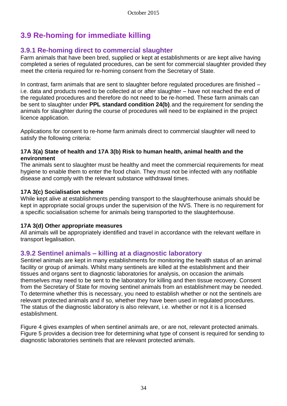# **3.9 Re-homing for immediate killing**

## **3.9.1 Re-homing direct to commercial slaughter**

Farm animals that have been bred, supplied or kept at establishments or are kept alive having completed a series of regulated procedures, can be sent for commercial slaughter provided they meet the criteria required for re-homing consent from the Secretary of State.

In contrast, farm animals that are sent to slaughter before regulated procedures are finished – i.e. data and products need to be collected at or after slaughter – have not reached the end of the regulated procedures and therefore do not need to be re-homed. These farm animals can be sent to slaughter under **PPL standard condition 24(b)**, and the requirement for sending the animals for slaughter during the course of procedures will need to be explained in the project licence application.

Applications for consent to re-home farm animals direct to commercial slaughter will need to satisfy the following criteria:

#### **17A 3(a) State of health and 17A 3(b) Risk to human health, animal health and the environment**

The animals sent to slaughter must be healthy and meet the commercial requirements for meat hygiene to enable them to enter the food chain. They must not be infected with any notifiable disease and comply with the relevant substance withdrawal times.

#### **17A 3(c) Socialisation scheme**

While kept alive at establishments pending transport to the slaughterhouse animals should be kept in appropriate social groups under the supervision of the NVS. There is no requirement for a specific socialisation scheme for animals being transported to the slaughterhouse.

#### **17A 3(d) Other appropriate measures**

All animals will be appropriately identified and travel in accordance with the relevant welfare in transport legalisation.

### **3.9.2 Sentinel animals – killing at a diagnostic laboratory**

Sentinel animals are kept in many establishments for monitoring the health status of an animal facility or group of animals. Whilst many sentinels are killed at the establishment and their tissues and organs sent to diagnostic laboratories for analysis, on occasion the animals themselves may need to be sent to the laboratory for killing and then tissue recovery. Consent from the Secretary of State for moving sentinel animals from an establishment may be needed. To determine whether this is necessary, you need to establish whether or not the sentinels are relevant protected animals and if so, whether they have been used in regulated procedures. The status of the diagnostic laboratory is also relevant, i.e. whether or not it is a licensed establishment.

Figure 4 gives examples of when sentinel animals are, or are not, relevant protected animals. Figure 5 provides a decision tree for determining what type of consent is required for sending to diagnostic laboratories sentinels that are relevant protected animals.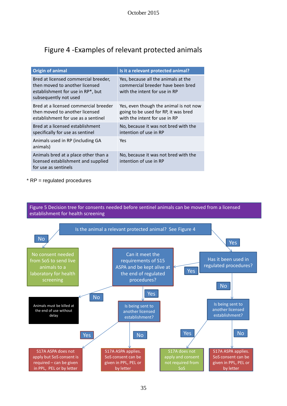# Figure 4 -Examples of relevant protected animals

| <b>Origin of animal</b>                                                                                                              | Is it a relevant protected animal?                                                                              |
|--------------------------------------------------------------------------------------------------------------------------------------|-----------------------------------------------------------------------------------------------------------------|
| Bred at licensed commercial breeder,<br>then moved to another licensed<br>establishment for use in RP*, but<br>subsequently not used | Yes, because all the animals at the<br>commercial breeder have been bred<br>with the intent for use in RP       |
| Bred at a licensed commercial breeder<br>then moved to another licensed<br>establishment for use as a sentinel                       | Yes, even though the animal is not now<br>going to be used for RP, it was bred<br>with the intent for use in RP |
| Bred at a licensed establishment<br>specifically for use as sentinel                                                                 | No, because it was not bred with the<br>intention of use in RP                                                  |
| Animals used in RP (including GA<br>animals)                                                                                         | Yes                                                                                                             |
| Animals bred at a place other than a<br>licensed establishment and supplied<br>for use as sentinels                                  | No, because it was not bred with the<br>intention of use in RP                                                  |

\* RP = regulated procedures

Figure 5 Decision tree for consents needed before sentinel animals can be moved from a licensed establishment for health screening

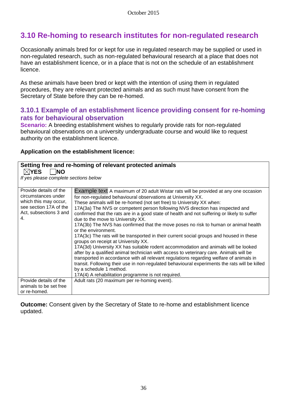# **3.10 Re-homing to research institutes for non-regulated research**

Occasionally animals bred for or kept for use in regulated research may be supplied or used in non-regulated research, such as non-regulated behavioural research at a place that does not have an establishment licence, or in a place that is not on the schedule of an establishment licence.

As these animals have been bred or kept with the intention of using them in regulated procedures, they are relevant protected animals and as such must have consent from the Secretary of State before they can be re-homed.

## **3.10.1 Example of an establishment licence providing consent for re-homing rats for behavioural observation**

**Scenario:** A breeding establishment wishes to regularly provide rats for non-regulated behavioural observations on a university undergraduate course and would like to request authority on the establishment licence.

#### **Application on the establishment licence:**

| $\boxtimes$ YES<br><b>NO</b><br>If yes please complete sections below                                                            | Setting free and re-homing of relevant protected animals                                                                                                                                                                                                                                                                                                                                                                                                                                                                                                                                                                                                                                                                                                                                                                                                                                                                                                                                                                                                                                                                                                      |
|----------------------------------------------------------------------------------------------------------------------------------|---------------------------------------------------------------------------------------------------------------------------------------------------------------------------------------------------------------------------------------------------------------------------------------------------------------------------------------------------------------------------------------------------------------------------------------------------------------------------------------------------------------------------------------------------------------------------------------------------------------------------------------------------------------------------------------------------------------------------------------------------------------------------------------------------------------------------------------------------------------------------------------------------------------------------------------------------------------------------------------------------------------------------------------------------------------------------------------------------------------------------------------------------------------|
| Provide details of the<br>circumstances under<br>which this may occur,<br>see section 17A of the<br>Act, subsections 3 and<br>4. | Example text A maximum of 20 adult Wistar rats will be provided at any one occasion<br>for non-regulated behavioural observations at University XX.<br>These animals will be re-homed (not set free) to University XX when:<br>17A(3a) The NVS or competent person following NVS direction has inspected and<br>confirmed that the rats are in a good state of health and not suffering or likely to suffer<br>due to the move to University XX.<br>17A(3b) The NVS has confirmed that the move poses no risk to human or animal health<br>or the environment.<br>17A(3c) The rats will be transported in their current social groups and housed in these<br>groups on receipt at University XX.<br>17A(3d) University XX has suitable rodent accommodation and animals will be looked<br>after by a qualified animal technician with access to veterinary care. Animals will be<br>transported in accordance with all relevant regulations regarding welfare of animals in<br>transit. Following their use in non-regulated behavioural experiments the rats will be killed<br>by a schedule 1 method.<br>17A(4) A rehabilitation programme is not required. |
| Provide details of the<br>animals to be set free<br>or re-homed.                                                                 | Adult rats (20 maximum per re-homing event).                                                                                                                                                                                                                                                                                                                                                                                                                                                                                                                                                                                                                                                                                                                                                                                                                                                                                                                                                                                                                                                                                                                  |

**Outcome:** Consent given by the Secretary of State to re-home and establishment licence updated.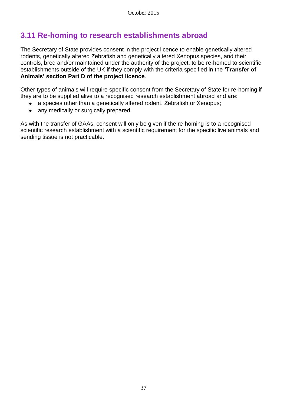# **3.11 Re-homing to research establishments abroad**

The Secretary of State provides consent in the project licence to enable genetically altered rodents, genetically altered Zebrafish and genetically altered Xenopus species, and their controls, bred and/or maintained under the authority of the project, to be re-homed to scientific establishments outside of the UK if they comply with the criteria specified in the **'Transfer of Animals' section Part D of the project licence**.

Other types of animals will require specific consent from the Secretary of State for re-homing if they are to be supplied alive to a recognised research establishment abroad and are:

- a species other than a genetically altered rodent, Zebrafish or Xenopus;
- any medically or surgically prepared.

As with the transfer of GAAs, consent will only be given if the re-homing is to a recognised scientific research establishment with a scientific requirement for the specific live animals and sending tissue is not practicable.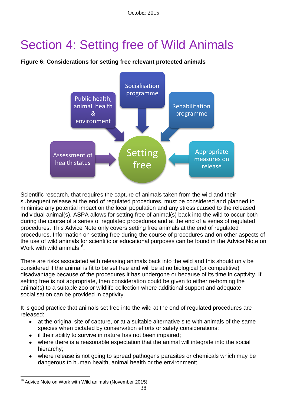# Section 4: Setting free of Wild Animals





Scientific research, that requires the capture of animals taken from the wild and their subsequent release at the end of regulated procedures, must be considered and planned to minimise any potential impact on the local population and any stress caused to the released individual animal(s). ASPA allows for setting free of animal(s) back into the wild to occur both during the course of a series of regulated procedures and at the end of a series of regulated procedures. This Advice Note only covers setting free animals at the end of regulated procedures. Information on setting free during the course of procedures and on other aspects of the use of wild animals for scientific or educational purposes can be found in the Advice Note on Work with wild animals $^{16}$ .

There are risks associated with releasing animals back into the wild and this should only be considered if the animal is fit to be set free and will be at no biological (or competitive) disadvantage because of the procedures it has undergone or because of its time in captivity. If setting free is not appropriate, then consideration could be given to either re-homing the animal(s) to a suitable zoo or wildlife collection where additional support and adequate socialisation can be provided in captivity.

It is good practice that animals set free into the wild at the end of regulated procedures are released:

- at the original site of capture, or at a suitable alternative site with animals of the same  $\bullet$ species when dictated by conservation efforts or safety considerations;
- if their ability to survive in nature has not been impaired;  $\bullet$
- where there is a reasonable expectation that the animal will integrate into the social hierarchy;
- where release is not going to spread pathogens parasites or chemicals which may be dangerous to human health, animal health or the environment;

 $\overline{a}$ <sup>16</sup> Advice Note on Work with Wild animals (November 2015)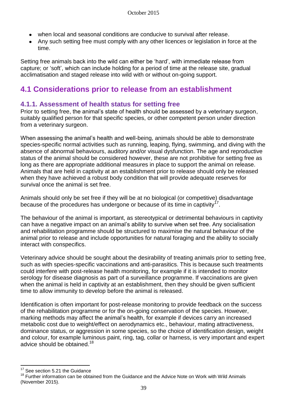- when local and seasonal conditions are conducive to survival after release.
- Any such setting free must comply with any other licences or legislation in force at the time.

Setting free animals back into the wild can either be 'hard', with immediate release from capture; or 'soft', which can include holding for a period of time at the release site, gradual acclimatisation and staged release into wild with or without on-going support.

# **4.1 Considerations prior to release from an establishment**

## **4.1.1. Assessment of health status for setting free**

Prior to setting free, the animal's state of health should be assessed by a veterinary surgeon, suitably qualified person for that specific species, or other competent person under direction from a veterinary surgeon.

When assessing the animal's health and well-being, animals should be able to demonstrate species-specific normal activities such as running, leaping, flying, swimming, and diving with the absence of abnormal behaviours, auditory and/or visual dysfunction. The age and reproductive status of the animal should be considered however, these are not prohibitive for setting free as long as there are appropriate additional measures in place to support the animal on release. Animals that are held in captivity at an establishment prior to release should only be released when they have achieved a robust body condition that will provide adequate reserves for survival once the animal is set free.

Animals should only be set free if they will be at no biological (or competitive) disadvantage because of the procedures has undergone or because of its time in captivity  $17$ .

The behaviour of the animal is important, as stereotypical or detrimental behaviours in captivity can have a negative impact on an animal's ability to survive when set free. Any socialisation and rehabilitation programme should be structured to maximise the natural behaviour of the animal prior to release and include opportunities for natural foraging and the ability to socially interact with conspecifics.

Veterinary advice should be sought about the desirability of treating animals prior to setting free, such as with species-specific vaccinations and anti-parasitics. This is because such treatments could interfere with post-release health monitoring, for example if it is intended to monitor serology for disease diagnosis as part of a surveillance programme. If vaccinations are given when the animal is held in captivity at an establishment, then they should be given sufficient time to allow immunity to develop before the animal is released.

Identification is often important for post-release monitoring to provide feedback on the success of the rehabilitation programme or for the on-going conservation of the species. However, marking methods may affect the animal's health, for example if devices carry an increased metabolic cost due to weight/effect on aerodynamics etc., behaviour, mating attractiveness, dominance status, or aggression in some species, so the choice of identification design, weight and colour, for example luminous paint, ring, tag, collar or harness, is very important and expert advice should be obtained.<sup>18</sup>

 $\overline{a}$ 

<sup>&</sup>lt;sup>17</sup> See section 5.21 the Guidance

 $18$  Further information can be obtained from the Guidance and the Advice Note on Work with Wild Animals (November 2015).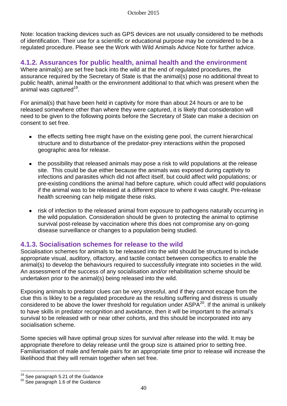Note: location tracking devices such as GPS devices are not usually considered to be methods of identification. Their use for a scientific or educational purpose may be considered to be a regulated procedure. Please see the Work with Wild Animals Advice Note for further advice.

## **4.1.2. Assurances for public health, animal health and the environment**

Where animal(s) are set free back into the wild at the end of regulated procedures, the assurance required by the Secretary of State is that the animal(s) pose no additional threat to public health, animal health or the environment additional to that which was present when the .<br>animal was captured<sup>19</sup>.

For animal(s) that have been held in captivity for more than about 24 hours or are to be released somewhere other than where they were captured, it is likely that consideration will need to be given to the following points before the Secretary of State can make a decision on consent to set free.

- the effects setting free might have on the existing gene pool, the current hierarchical structure and to disturbance of the predator-prey interactions within the proposed geographic area for release.
- the possibility that released animals may pose a risk to wild populations at the release site. This could be due either because the animals was exposed during captivity to infections and parasites which did not affect itself, but could affect wild populations; or pre-existing conditions the animal had before capture, which could affect wild populations if the animal was to be released at a different place to where it was caught. Pre-release health screening can help mitigate these risks.
- risk of infection to the released animal from exposure to pathogens naturally occurring in the wild population. Consideration should be given to protecting the animal to optimise survival post-release by vaccination where this does not compromise any on-going disease surveillance or changes to a population being studied.

### **4.1.3. Socialisation schemes for release to the wild**

Socialisation schemes for animals to be released into the wild should be structured to include appropriate visual, auditory, olfactory, and tactile contact between conspecifics to enable the animal(s) to develop the behaviours required to successfully integrate into societies in the wild. An assessment of the success of any socialisation and/or rehabilitation scheme should be undertaken prior to the animal(s) being released into the wild.

Exposing animals to predator clues can be very stressful, and if they cannot escape from the clue this is likley to be a regulated procedure as the resulting suffering and distress is usually considered to be above the lower threshold for regulation under ASPA<sup>20</sup>. If the animal is unlikely to have skills in predator recognition and avoidance, then it will be important to the animal's survival to be released with or near other cohorts, and this should be incorporated into any socialisation scheme.

Some species will have optimal group sizes for survival after release into the wild. It may be appropriate therefore to delay release until the group size is attained prior to setting free. Familiarisation of male and female pairs for an appropriate time prior to release will increase the likelihood that they will remain together when set free.

 $\overline{a}$ 

 $19$  See paragraph 5.21 of the Guidance

<sup>&</sup>lt;sup>20</sup> See paragraph 1.6 of the Guidance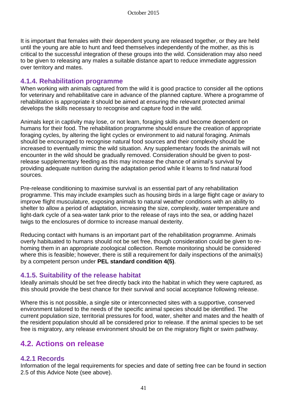It is important that females with their dependent young are released together, or they are held until the young are able to hunt and feed themselves independently of the mother, as this is critical to the successful integration of these groups into the wild. Consideration may also need to be given to releasing any males a suitable distance apart to reduce immediate aggression over territory and mates.

### **4.1.4. Rehabilitation programme**

When working with animals captured from the wild it is good practice to consider all the options for veterinary and rehabilitative care in advance of the planned capture. Where a programme of rehabilitation is appropriate it should be aimed at ensuring the relevant protected animal develops the skills necessary to recognise and capture food in the wild.

Animals kept in captivity may lose, or not learn, foraging skills and become dependent on humans for their food. The rehabilitation programme should ensure the creation of appropriate foraging cycles, by altering the light cycles or environment to aid natural foraging. Animals should be encouraged to recognise natural food sources and their complexity should be increased to eventually mimic the wild situation. Any supplementary foods the animals will not encounter in the wild should be gradually removed. Consideration should be given to postrelease supplementary feeding as this may increase the chance of animal's survival by providing adequate nutrition during the adaptation period while it learns to find natural food sources.

Pre-release conditioning to maximise survival is an essential part of any rehabilitation programme. This may include examples such as housing birds in a large flight cage or aviary to improve flight musculature, exposing animals to natural weather conditions with an ability to shelter to allow a period of adaptation, increasing the size, complexity, water temperature and light-dark cycle of a sea-water tank prior to the release of rays into the sea, or adding hazel twigs to the enclosures of dormice to increase manual dexterity.

Reducing contact with humans is an important part of the rehabilitation programme. Animals overly habituated to humans should not be set free, though consideration could be given to rehoming them in an appropriate zoological collection. Remote monitoring should be considered where this is feasible; however, there is still a requirement for daily inspections of the animal(s) by a competent person under **PEL standard condition 4(5)**.

### **4.1.5. Suitability of the release habitat**

Ideally animals should be set free directly back into the habitat in which they were captured, as this should provide the best chance for their survival and social acceptance following release.

Where this is not possible, a single site or interconnected sites with a supportive, conserved environment tailored to the needs of the specific animal species should be identified. The current population size, territorial pressures for food, water, shelter and mates and the health of the resident population should all be considered prior to release. If the animal species to be set free is migratory, any release environment should be on the migratory flight or swim pathway.

## **4.2. Actions on release**

## **4.2.1 Records**

Information of the legal requirements for species and date of setting free can be found in section 2.5 of this Advice Note (see above).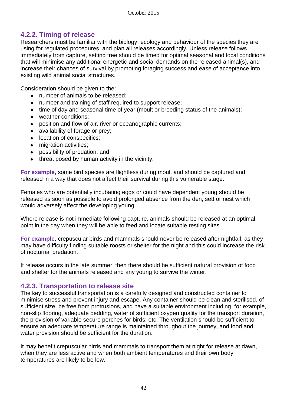## **4.2.2. Timing of release**

Researchers must be familiar with the biology, ecology and behaviour of the species they are using for regulated procedures, and plan all releases accordingly. Unless release follows immediately from capture, setting free should be timed for optimal seasonal and local conditions that will minimise any additional energetic and social demands on the released animal(s), and increase their chances of survival by promoting foraging success and ease of acceptance into existing wild animal social structures.

Consideration should be given to the:

- $\bullet$ number of animals to be released;
- number and training of staff required to support release;
- time of day and seasonal time of year (moult or breeding status of the animals);
- weather conditions;  $\bullet$
- position and flow of air, river or oceanographic currents;
- availability of forage or prey;
- location of conspecifics;
- migration activities;
- possibility of predation; and  $\bullet$
- threat posed by human activity in the vicinity.

**For example**, some bird species are flightless during moult and should be captured and released in a way that does not affect their survival during this vulnerable stage.

Females who are potentially incubating eggs or could have dependent young should be released as soon as possible to avoid prolonged absence from the den, sett or nest which would adversely affect the developing young.

Where release is not immediate following capture, animals should be released at an optimal point in the day when they will be able to feed and locate suitable resting sites.

**For example**, crepuscular birds and mammals should never be released after nightfall, as they may have difficulty finding suitable roosts or shelter for the night and this could increase the risk of nocturnal predation.

If release occurs in the late summer, then there should be sufficient natural provision of food and shelter for the animals released and any young to survive the winter.

### **4.2.3. Transportation to release site**

The key to successful transportation is a carefully designed and constructed container to minimise stress and prevent injury and escape. Any container should be clean and sterilised, of sufficient size, be free from protrusions, and have a suitable environment including, for example, non-slip flooring, adequate bedding, water of sufficient oxygen quality for the transport duration, the provision of variable secure perches for birds, etc. The ventilation should be sufficient to ensure an adequate temperature range is maintained throughout the journey, and food and water provision should be sufficient for the duration.

It may benefit crepuscular birds and mammals to transport them at night for release at dawn, when they are less active and when both ambient temperatures and their own body temperatures are likely to be low.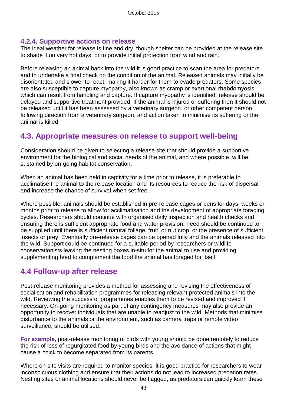## **4.2.4. Supportive actions on release**

The ideal weather for release is fine and dry, though shelter can be provided at the release site to shade it on very hot days, or to provide initial protection from wind and rain.

Before releasing an animal back into the wild it is good practice to scan the area for predators and to undertake a final check on the condition of the animal. Released animals may initially be disorientated and slower to react, making it harder for them to evade predators. Some species are also susceptible to capture myopathy, also known as cramp or exertional rhabdomyosis, which can result from handling and capture. If capture myopathy is identified, release should be delayed and supportive treatment provided. If the animal is injured or suffering then it should not be released until it has been assessed by a veterinary surgeon, or other competent person following direction from a veterinary surgeon, and action taken to minimise its suffering or the animal is killed.

## **4.3. Appropriate measures on release to support well-being**

Consideration should be given to selecting a release site that should provide a supportive environment for the biological and social needs of the animal, and where possible, will be sustained by on-going habitat conservation.

When an animal has been held in captivity for a time prior to release, it is preferable to acclimatise the animal to the release location and its resources to reduce the risk of dispersal and increase the chance of survival when set free.

Where possible, animals should be established in pre-release cages or pens for days, weeks or months prior to release to allow for acclimatisation and the development of appropriate foraging cycles. Researchers should continue with organised daily inspection and health checks and ensuring there is sufficient appropriate food and water provision. Feed should be continued to be supplied until there is sufficient natural foliage, fruit, or nut crop, or the presence of sufficient insects or prey. Eventually pre-release cages can be opened fully and the animals released into the wild. Support could be continued for a suitable period by researchers or wildlife conservationists leaving the nesting boxes in-situ for the animal to use and providing supplementing feed to complement the food the animal has foraged for itself.

## **4.4 Follow-up after release**

Post-release monitoring provides a method for assessing and revising the effectiveness of socialisation and rehabilitation programmes for releasing relevant protected animals into the wild. Reviewing the success of programmes enables them to be revised and improved if necessary. On-going monitoring as part of any contingency measures may also provide an opportunity to recover individuals that are unable to readjust to the wild. Methods that minimise disturbance to the animals or the environment, such as camera traps or remote video surveillance, should be utilised.

**For example**, post-release monitoring of birds with young should be done remotely to reduce the risk of loss of regurgitated food by young birds and the avoidance of actions that might cause a chick to become separated from its parents.

Where on-site visits are required to monitor species, it is good practice for researchers to wear inconspicuous clothing and ensure that their actions do not lead to increased predation rates. Nesting sites or animal locations should never be flagged, as predators can quickly learn these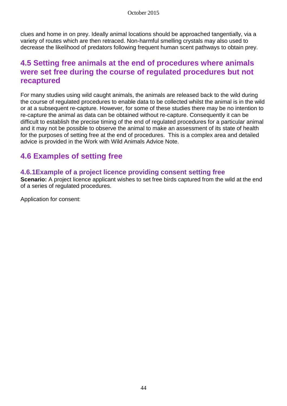clues and home in on prey. Ideally animal locations should be approached tangentially, via a variety of routes which are then retraced. Non-harmful smelling crystals may also used to decrease the likelihood of predators following frequent human scent pathways to obtain prey.

## **4.5 Setting free animals at the end of procedures where animals were set free during the course of regulated procedures but not recaptured**

For many studies using wild caught animals, the animals are released back to the wild during the course of regulated procedures to enable data to be collected whilst the animal is in the wild or at a subsequent re-capture. However, for some of these studies there may be no intention to re-capture the animal as data can be obtained without re-capture. Consequently it can be difficult to establish the precise timing of the end of regulated procedures for a particular animal and it may not be possible to observe the animal to make an assessment of its state of health for the purposes of setting free at the end of procedures. This is a complex area and detailed advice is provided in the Work with Wild Animals Advice Note.

# **4.6 Examples of setting free**

## **4.6.1Example of a project licence providing consent setting free**

**Scenario:** A project licence applicant wishes to set free birds captured from the wild at the end of a series of regulated procedures.

Application for consent: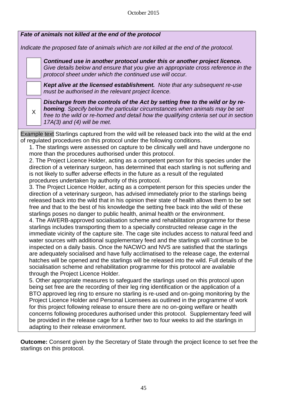| Fate of animals not killed at the end of the protocol                                                                                                                                                                                                                                                                                                                                                                                                                                                                                                                                                                                                                                                                                                                                                                                                                                                                                                                                                                                                                                                                                                                                                                                                                                                                                                                                                                                                                                                                                                                                                                                                                                                                                                                                                                                                                                                                                                                                                                                                                                                                                                                                                                                                                                                                                                                                                                                                                                                                                                              |  |  |
|--------------------------------------------------------------------------------------------------------------------------------------------------------------------------------------------------------------------------------------------------------------------------------------------------------------------------------------------------------------------------------------------------------------------------------------------------------------------------------------------------------------------------------------------------------------------------------------------------------------------------------------------------------------------------------------------------------------------------------------------------------------------------------------------------------------------------------------------------------------------------------------------------------------------------------------------------------------------------------------------------------------------------------------------------------------------------------------------------------------------------------------------------------------------------------------------------------------------------------------------------------------------------------------------------------------------------------------------------------------------------------------------------------------------------------------------------------------------------------------------------------------------------------------------------------------------------------------------------------------------------------------------------------------------------------------------------------------------------------------------------------------------------------------------------------------------------------------------------------------------------------------------------------------------------------------------------------------------------------------------------------------------------------------------------------------------------------------------------------------------------------------------------------------------------------------------------------------------------------------------------------------------------------------------------------------------------------------------------------------------------------------------------------------------------------------------------------------------------------------------------------------------------------------------------------------------|--|--|
| Indicate the proposed fate of animals which are not killed at the end of the protocol.                                                                                                                                                                                                                                                                                                                                                                                                                                                                                                                                                                                                                                                                                                                                                                                                                                                                                                                                                                                                                                                                                                                                                                                                                                                                                                                                                                                                                                                                                                                                                                                                                                                                                                                                                                                                                                                                                                                                                                                                                                                                                                                                                                                                                                                                                                                                                                                                                                                                             |  |  |
| Continued use in another protocol under this or another project licence.<br>Give details below and ensure that you give an appropriate cross reference in the<br>protocol sheet under which the continued use will occur.                                                                                                                                                                                                                                                                                                                                                                                                                                                                                                                                                                                                                                                                                                                                                                                                                                                                                                                                                                                                                                                                                                                                                                                                                                                                                                                                                                                                                                                                                                                                                                                                                                                                                                                                                                                                                                                                                                                                                                                                                                                                                                                                                                                                                                                                                                                                          |  |  |
| Kept alive at the licensed establishment. Note that any subsequent re-use<br>must be authorised in the relevant project licence.                                                                                                                                                                                                                                                                                                                                                                                                                                                                                                                                                                                                                                                                                                                                                                                                                                                                                                                                                                                                                                                                                                                                                                                                                                                                                                                                                                                                                                                                                                                                                                                                                                                                                                                                                                                                                                                                                                                                                                                                                                                                                                                                                                                                                                                                                                                                                                                                                                   |  |  |
| Discharge from the controls of the Act by setting free to the wild or by re-<br><b>homing</b> . Specify below the particular circumstances when animals may be set<br>X<br>free to the wild or re-homed and detail how the qualifying criteria set out in section<br>$17A(3)$ and (4) will be met.                                                                                                                                                                                                                                                                                                                                                                                                                                                                                                                                                                                                                                                                                                                                                                                                                                                                                                                                                                                                                                                                                                                                                                                                                                                                                                                                                                                                                                                                                                                                                                                                                                                                                                                                                                                                                                                                                                                                                                                                                                                                                                                                                                                                                                                                 |  |  |
| Example text Starlings captured from the wild will be released back into the wild at the end<br>of regulated procedures on this protocol under the following conditions.<br>1. The starlings were assessed on capture to be clinically well and have undergone no<br>more than the procedures authorised under this protocol.<br>2. The Project Licence Holder, acting as a competent person for this species under the<br>direction of a veterinary surgeon, has determined that each starling is not suffering and<br>is not likely to suffer adverse effects in the future as a result of the regulated<br>procedures undertaken by authority of this protocol.<br>3. The Project Licence Holder, acting as a competent person for this species under the<br>direction of a veterinary surgeon, has advised immediately prior to the starlings being<br>released back into the wild that in his opinion their state of health allows them to be set<br>free and that to the best of his knowledge the setting free back into the wild of these<br>starlings poses no danger to public health, animal health or the environment.<br>4. The AWERB-approved socialisation scheme and rehabilitation programme for these<br>starlings includes transporting them to a specially constructed release cage in the<br>immediate vicinity of the capture site. The cage site includes access to natural feed and<br>water sources with additional supplementary feed and the starlings will continue to be<br>inspected on a daily basis. Once the NACWO and NVS are satisfied that the starlings<br>are adequately socialised and have fully acclimatised to the release cage, the external<br>hatches will be opened and the starlings will be released into the wild. Full details of the<br>socialisation scheme and rehabilitation programme for this protocol are available<br>through the Project Licence Holder.<br>5. Other appropriate measures to safeguard the starlings used on this protocol upon<br>being set free are the recording of their leg ring identification or the application of a<br>BTO approved leg ring to ensure no starling is re-used and on-going monitoring by the<br>Project Licence Holder and Personal Licensees as outlined in the programme of work<br>for this project following release to ensure there are no on-going welfare or health<br>concerns following procedures authorised under this protocol. Supplementary feed will<br>be provided in the release cage for a further two to four weeks to aid the starlings in |  |  |
| adapting to their release environment.<br><b>Outcome:</b> Consent given by the Secretary of State through the project licence to set free the<br>starlings on this protocol.                                                                                                                                                                                                                                                                                                                                                                                                                                                                                                                                                                                                                                                                                                                                                                                                                                                                                                                                                                                                                                                                                                                                                                                                                                                                                                                                                                                                                                                                                                                                                                                                                                                                                                                                                                                                                                                                                                                                                                                                                                                                                                                                                                                                                                                                                                                                                                                       |  |  |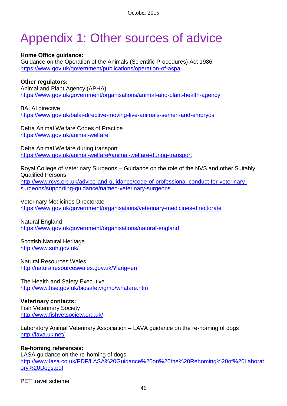# Appendix 1: Other sources of advice

#### **Home Office guidance:**

Guidance on the Operation of the Animals (Scientific Procedures) Act 1986 <https://www.gov.uk/government/publications/operation-of-aspa>

#### **Other regulators:**

Animal and Plant Agency (APHA) <https://www.gov.uk/government/organisations/animal-and-plant-health-agency>

BALAI directive <https://www.gov.uk/balai-directive-moving-live-animals-semen-and-embryos>

Defra Animal Welfare Codes of Practice <https://www.gov.uk/animal-welfare>

Defra Animal Welfare during transport <https://www.gov.uk/animal-welfare#animal-welfare-during-transport>

Royal College of Veterinary Surgeons – Guidance on the role of the NVS and other Suitably Qualified Persons

[http://www.rcvs.org.uk/advice-and-guidance/code-of-professional-conduct-for-veterinary](http://www.rcvs.org.uk/advice-and-guidance/code-of-professional-conduct-for-veterinary-surgeons/supporting-guidance/named-veterinary-surgeons)[surgeons/supporting-guidance/named-veterinary-surgeons](http://www.rcvs.org.uk/advice-and-guidance/code-of-professional-conduct-for-veterinary-surgeons/supporting-guidance/named-veterinary-surgeons)

Veterinary Medicines Directorate <https://www.gov.uk/government/organisations/veterinary-medicines-directorate>

Natural England <https://www.gov.uk/government/organisations/natural-england>

Scottish Natural Heritage <http://www.snh.gov.uk/>

Natural Resources Wales <http://naturalresourceswales.gov.uk/?lang=en>

The Health and Safety Executive <http://www.hse.gov.uk/biosafety/gmo/whatare.htm>

#### **Veterinary contacts:**

Fish Veterinary Society <http://www.fishvetsociety.org.uk/>

Laboratory Animal Veterinary Association – LAVA guidance on the re-homing of dogs <http://lava.uk.net/>

#### **Re-homing references:**

LASA guidance on the re-homing of dogs [http://www.lasa.co.uk/PDF/LASA%20Guidance%20on%20the%20Rehoming%20of%20Laborat](http://www.lasa.co.uk/PDF/LASA%20Guidance%20on%20the%20Rehoming%20of%20Laboratory%20Dogs.pdf) [ory%20Dogs.pdf](http://www.lasa.co.uk/PDF/LASA%20Guidance%20on%20the%20Rehoming%20of%20Laboratory%20Dogs.pdf)

PET travel scheme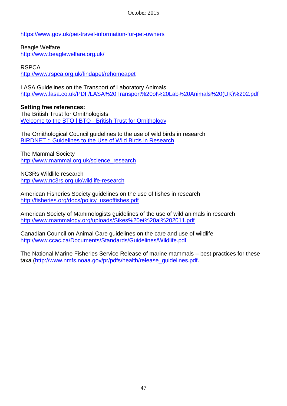October 2015

<https://www.gov.uk/pet-travel-information-for-pet-owners>

Beagle Welfare <http://www.beaglewelfare.org.uk/>

RSPCA <http://www.rspca.org.uk/findapet/rehomeapet>

LASA Guidelines on the Transport of Laboratory Animals [http://www.lasa.co.uk/PDF/LASA%20Transport%20of%20Lab%20Animals%20\(UK\)%202.pdf](http://www.lasa.co.uk/PDF/LASA%20Transport%20of%20Lab%20Animals%20(UK)%202.pdf)

**Setting free references:** The British Trust for Ornithologists [Welcome to the BTO | BTO -](http://www.bto.org/) British Trust for Ornithology

The Ornithological Council guidelines to the use of wild birds in research [BIRDNET :: Guidelines to the Use of Wild Birds in Research](http://www.nmnh.si.edu/BIRDNET/guide)

The Mammal Society [http://www.mammal.org.uk/science\\_research](http://www.mammal.org.uk/science_research)

NC3Rs Wildlife research <http://www.nc3rs.org.uk/wildlife-research>

American Fisheries Society guidelines on the use of fishes in research [http://fisheries.org/docs/policy\\_useoffishes.pdf](http://fisheries.org/docs/policy_useoffishes.pdf)

American Society of Mammologists guidelines of the use of wild animals in research <http://www.mammalogy.org/uploads/Sikes%20et%20al%202011.pdf>

Canadian Council on Animal Care guidelines on the care and use of wildlife <http://www.ccac.ca/Documents/Standards/Guidelines/Wildlife.pdf>

The National Marine Fisheries Service Release of marine mammals – best practices for these taxa [\(http://www.nmfs.noaa.gov/pr/pdfs/health/release\\_guidelines.pdf.](http://www.nmfs.noaa.gov/pr/pdfs/health/release_guidelines.pdf)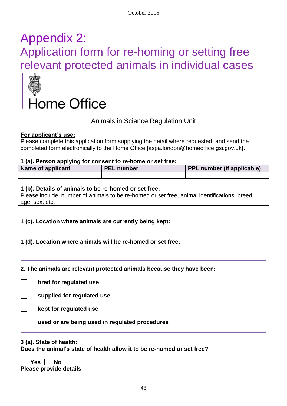# Appendix 2: Application form for re-homing or setting free relevant protected animals in individual cases



Animals in Science Regulation Unit

#### **For applicant's use:**

Please complete this application form supplying the detail where requested, and send the completed form electronically to the Home Office [aspa.london@homeoffice.gsi.gov.uk].

#### **1 (a). Person applying for consent to re-home or set free:**

| <b>Name of applicant</b> | <b>PEL number</b> | PPL number (if applicable) |
|--------------------------|-------------------|----------------------------|
|                          |                   |                            |

#### **1 (b). Details of animals to be re-homed or set free:**

Please include, number of animals to be re-homed or set free, animal identifications, breed, age, sex, etc.

#### **1 (c). Location where animals are currently being kept:**

#### **1 (d). Location where animals will be re-homed or set free:**

#### **2. The animals are relevant protected animals because they have been:**

- $\Box$ **bred for regulated use**
- **supplied for regulated use**
- **kept for regulated use**
	- **used or are being used in regulated procedures**

#### **3 (a). State of health:**

**Does the animal's state of health allow it to be re-homed or set free?**

 **Yes No**

**Please provide details**